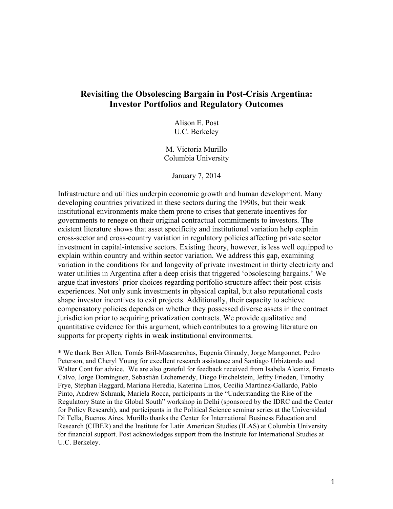# **Revisiting the Obsolescing Bargain in Post-Crisis Argentina: Investor Portfolios and Regulatory Outcomes**

Alison E. Post U.C. Berkeley

M. Victoria Murillo Columbia University

January 7, 2014

Infrastructure and utilities underpin economic growth and human development. Many developing countries privatized in these sectors during the 1990s, but their weak institutional environments make them prone to crises that generate incentives for governments to renege on their original contractual commitments to investors. The existent literature shows that asset specificity and institutional variation help explain cross-sector and cross-country variation in regulatory policies affecting private sector investment in capital-intensive sectors. Existing theory, however, is less well equipped to explain within country and within sector variation. We address this gap, examining variation in the conditions for and longevity of private investment in thirty electricity and water utilities in Argentina after a deep crisis that triggered 'obsolescing bargains.' We argue that investors' prior choices regarding portfolio structure affect their post-crisis experiences. Not only sunk investments in physical capital, but also reputational costs shape investor incentives to exit projects. Additionally, their capacity to achieve compensatory policies depends on whether they possessed diverse assets in the contract jurisdiction prior to acquiring privatization contracts. We provide qualitative and quantitative evidence for this argument, which contributes to a growing literature on supports for property rights in weak institutional environments.

\* We thank Ben Allen, Tomás Bril-Mascarenhas, Eugenia Giraudy, Jorge Mangonnet, Pedro Peterson, and Cheryl Young for excellent research assistance and Santiago Urbiztondo and Walter Cont for advice. We are also grateful for feedback received from Isabela Alcaniz, Ernesto Calvo, Jorge Domínguez, Sebastián Etchemendy, Diego Finchelstein, Jeffry Frieden, Timothy Frye, Stephan Haggard, Mariana Heredia, Katerina Linos, Cecilia Martínez-Gallardo, Pablo Pinto, Andrew Schrank, Mariela Rocca, participants in the "Understanding the Rise of the Regulatory State in the Global South" workshop in Delhi (sponsored by the IDRC and the Center for Policy Research), and participants in the Political Science seminar series at the Universidad Di Tella, Buenos Aires. Murillo thanks the Center for International Business Education and Research (CIBER) and the Institute for Latin American Studies (ILAS) at Columbia University for financial support. Post acknowledges support from the Institute for International Studies at U.C. Berkeley.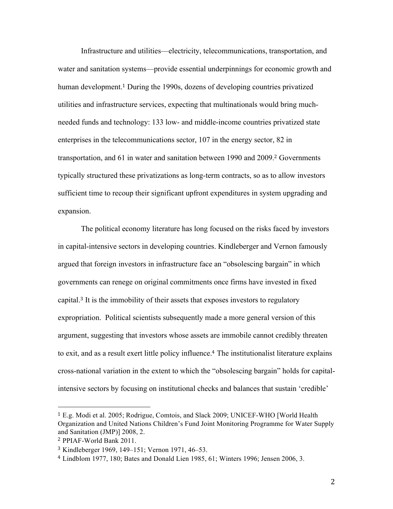Infrastructure and utilities—electricity, telecommunications, transportation, and water and sanitation systems—provide essential underpinnings for economic growth and human development. <sup>1</sup> During the 1990s, dozens of developing countries privatized utilities and infrastructure services, expecting that multinationals would bring muchneeded funds and technology: 133 low- and middle-income countries privatized state enterprises in the telecommunications sector, 107 in the energy sector, 82 in transportation, and 61 in water and sanitation between 1990 and 2009.<sup>2</sup> Governments typically structured these privatizations as long-term contracts, so as to allow investors sufficient time to recoup their significant upfront expenditures in system upgrading and expansion.

The political economy literature has long focused on the risks faced by investors in capital-intensive sectors in developing countries. Kindleberger and Vernon famously argued that foreign investors in infrastructure face an "obsolescing bargain" in which governments can renege on original commitments once firms have invested in fixed capital. <sup>3</sup> It is the immobility of their assets that exposes investors to regulatory expropriation. Political scientists subsequently made a more general version of this argument, suggesting that investors whose assets are immobile cannot credibly threaten to exit, and as a result exert little policy influence.<sup>4</sup> The institutionalist literature explains cross-national variation in the extent to which the "obsolescing bargain" holds for capitalintensive sectors by focusing on institutional checks and balances that sustain 'credible'

<sup>1</sup> E.g. Modi et al. 2005; Rodrigue, Comtois, and Slack 2009; UNICEF-WHO [World Health Organization and United Nations Children's Fund Joint Monitoring Programme for Water Supply and Sanitation (JMP)] 2008, 2.

<sup>2</sup> PPIAF-World Bank 2011.

<sup>3</sup> Kindleberger 1969, 149–151; Vernon 1971, 46–53.

<sup>4</sup> Lindblom 1977, 180; Bates and Donald Lien 1985, 61; Winters 1996; Jensen 2006, 3.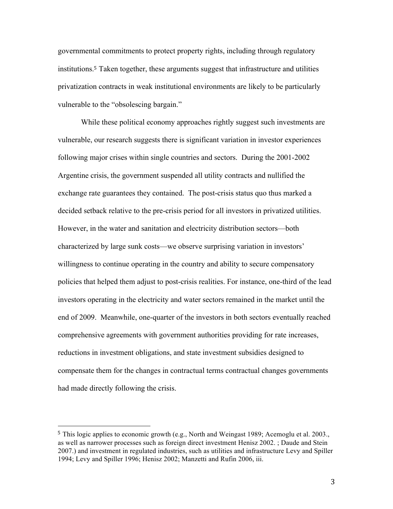governmental commitments to protect property rights, including through regulatory institutions. <sup>5</sup> Taken together, these arguments suggest that infrastructure and utilities privatization contracts in weak institutional environments are likely to be particularly vulnerable to the "obsolescing bargain."

While these political economy approaches rightly suggest such investments are vulnerable, our research suggests there is significant variation in investor experiences following major crises within single countries and sectors. During the 2001-2002 Argentine crisis, the government suspended all utility contracts and nullified the exchange rate guarantees they contained. The post-crisis status quo thus marked a decided setback relative to the pre-crisis period for all investors in privatized utilities. However, in the water and sanitation and electricity distribution sectors—both characterized by large sunk costs—we observe surprising variation in investors' willingness to continue operating in the country and ability to secure compensatory policies that helped them adjust to post-crisis realities. For instance, one-third of the lead investors operating in the electricity and water sectors remained in the market until the end of 2009. Meanwhile, one-quarter of the investors in both sectors eventually reached comprehensive agreements with government authorities providing for rate increases, reductions in investment obligations, and state investment subsidies designed to compensate them for the changes in contractual terms contractual changes governments had made directly following the crisis.

<sup>5</sup> This logic applies to economic growth (e.g., North and Weingast 1989; Acemoglu et al. 2003., as well as narrower processes such as foreign direct investment Henisz 2002. ; Daude and Stein 2007.) and investment in regulated industries, such as utilities and infrastructure Levy and Spiller 1994; Levy and Spiller 1996; Henisz 2002; Manzetti and Rufin 2006, iii.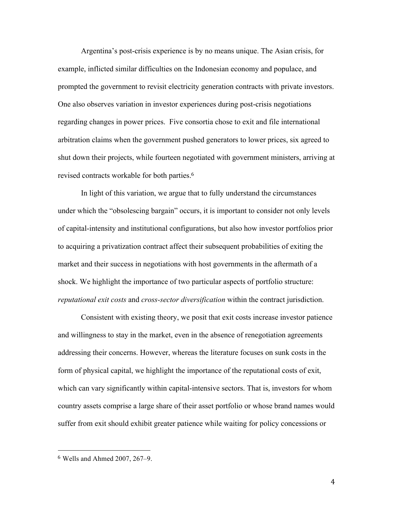Argentina's post-crisis experience is by no means unique. The Asian crisis, for example, inflicted similar difficulties on the Indonesian economy and populace, and prompted the government to revisit electricity generation contracts with private investors. One also observes variation in investor experiences during post-crisis negotiations regarding changes in power prices. Five consortia chose to exit and file international arbitration claims when the government pushed generators to lower prices, six agreed to shut down their projects, while fourteen negotiated with government ministers, arriving at revised contracts workable for both parties.<sup>6</sup>

In light of this variation, we argue that to fully understand the circumstances under which the "obsolescing bargain" occurs, it is important to consider not only levels of capital-intensity and institutional configurations, but also how investor portfolios prior to acquiring a privatization contract affect their subsequent probabilities of exiting the market and their success in negotiations with host governments in the aftermath of a shock. We highlight the importance of two particular aspects of portfolio structure: *reputational exit costs* and *cross-sector diversification* within the contract jurisdiction.

Consistent with existing theory, we posit that exit costs increase investor patience and willingness to stay in the market, even in the absence of renegotiation agreements addressing their concerns. However, whereas the literature focuses on sunk costs in the form of physical capital, we highlight the importance of the reputational costs of exit, which can vary significantly within capital-intensive sectors. That is, investors for whom country assets comprise a large share of their asset portfolio or whose brand names would suffer from exit should exhibit greater patience while waiting for policy concessions or

 <sup>6</sup> Wells and Ahmed 2007, 267–9.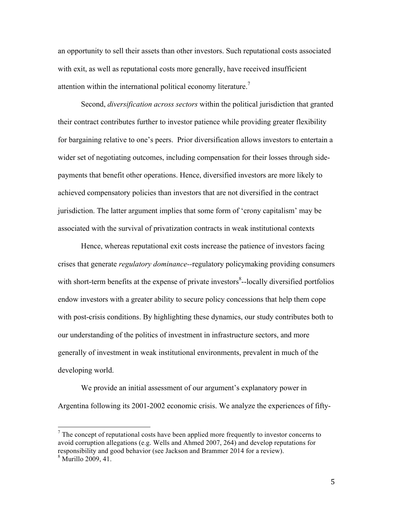an opportunity to sell their assets than other investors. Such reputational costs associated with exit, as well as reputational costs more generally, have received insufficient attention within the international political economy literature.<sup>7</sup>

Second, *diversification across sectors* within the political jurisdiction that granted their contract contributes further to investor patience while providing greater flexibility for bargaining relative to one's peers. Prior diversification allows investors to entertain a wider set of negotiating outcomes, including compensation for their losses through sidepayments that benefit other operations. Hence, diversified investors are more likely to achieved compensatory policies than investors that are not diversified in the contract jurisdiction. The latter argument implies that some form of 'crony capitalism' may be associated with the survival of privatization contracts in weak institutional contexts

Hence, whereas reputational exit costs increase the patience of investors facing crises that generate *regulatory dominance--*regulatory policymaking providing consumers with short-term benefits at the expense of private investors<sup>8</sup>--locally diversified portfolios endow investors with a greater ability to secure policy concessions that help them cope with post-crisis conditions. By highlighting these dynamics, our study contributes both to our understanding of the politics of investment in infrastructure sectors, and more generally of investment in weak institutional environments, prevalent in much of the developing world.

We provide an initial assessment of our argument's explanatory power in Argentina following its 2001-2002 economic crisis. We analyze the experiences of fifty-

 $<sup>7</sup>$  The concept of reputational costs have been applied more frequently to investor concerns to</sup> avoid corruption allegations (e.g. Wells and Ahmed 2007, 264) and develop reputations for responsibility and good behavior (see Jackson and Brammer 2014 for a review).

<sup>8</sup> Murillo 2009, 41.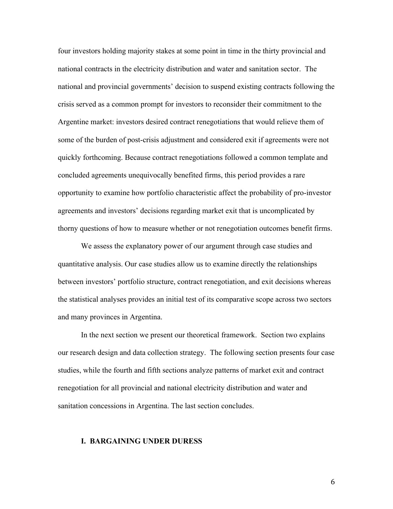four investors holding majority stakes at some point in time in the thirty provincial and national contracts in the electricity distribution and water and sanitation sector. The national and provincial governments' decision to suspend existing contracts following the crisis served as a common prompt for investors to reconsider their commitment to the Argentine market: investors desired contract renegotiations that would relieve them of some of the burden of post-crisis adjustment and considered exit if agreements were not quickly forthcoming. Because contract renegotiations followed a common template and concluded agreements unequivocally benefited firms, this period provides a rare opportunity to examine how portfolio characteristic affect the probability of pro-investor agreements and investors' decisions regarding market exit that is uncomplicated by thorny questions of how to measure whether or not renegotiation outcomes benefit firms.

We assess the explanatory power of our argument through case studies and quantitative analysis. Our case studies allow us to examine directly the relationships between investors' portfolio structure, contract renegotiation, and exit decisions whereas the statistical analyses provides an initial test of its comparative scope across two sectors and many provinces in Argentina.

In the next section we present our theoretical framework. Section two explains our research design and data collection strategy. The following section presents four case studies, while the fourth and fifth sections analyze patterns of market exit and contract renegotiation for all provincial and national electricity distribution and water and sanitation concessions in Argentina. The last section concludes.

#### **I. BARGAINING UNDER DURESS**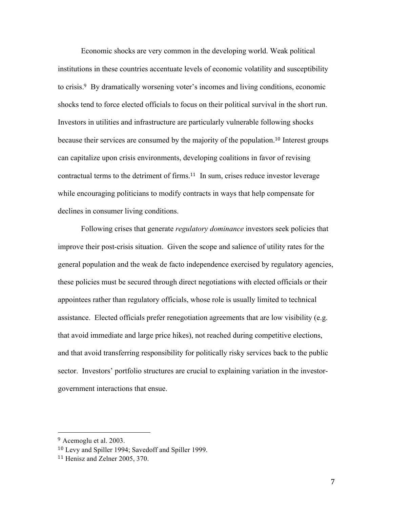Economic shocks are very common in the developing world. Weak political institutions in these countries accentuate levels of economic volatility and susceptibility to crisis.<sup>9</sup> By dramatically worsening voter's incomes and living conditions, economic shocks tend to force elected officials to focus on their political survival in the short run. Investors in utilities and infrastructure are particularly vulnerable following shocks because their services are consumed by the majority of the population. <sup>10</sup> Interest groups can capitalize upon crisis environments, developing coalitions in favor of revising contractual terms to the detriment of firms. <sup>11</sup> In sum, crises reduce investor leverage while encouraging politicians to modify contracts in ways that help compensate for declines in consumer living conditions.

Following crises that generate *regulatory dominance* investors seek policies that improve their post-crisis situation. Given the scope and salience of utility rates for the general population and the weak de facto independence exercised by regulatory agencies, these policies must be secured through direct negotiations with elected officials or their appointees rather than regulatory officials, whose role is usually limited to technical assistance. Elected officials prefer renegotiation agreements that are low visibility (e.g. that avoid immediate and large price hikes), not reached during competitive elections, and that avoid transferring responsibility for politically risky services back to the public sector. Investors' portfolio structures are crucial to explaining variation in the investorgovernment interactions that ensue.

<sup>9</sup> Acemoglu et al. 2003.

<sup>10</sup> Levy and Spiller 1994; Savedoff and Spiller 1999.

<sup>11</sup> Henisz and Zelner 2005, 370.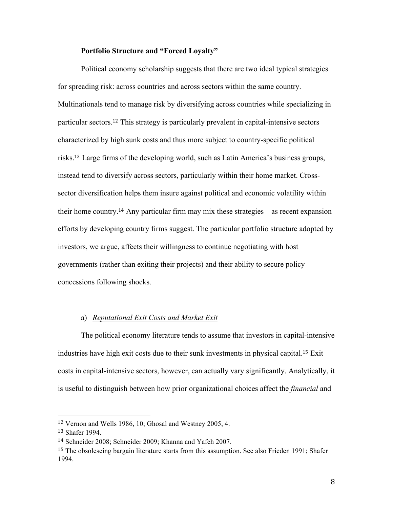## **Portfolio Structure and "Forced Loyalty"**

Political economy scholarship suggests that there are two ideal typical strategies for spreading risk: across countries and across sectors within the same country. Multinationals tend to manage risk by diversifying across countries while specializing in particular sectors. <sup>12</sup> This strategy is particularly prevalent in capital-intensive sectors characterized by high sunk costs and thus more subject to country-specific political risks. <sup>13</sup> Large firms of the developing world, such as Latin America's business groups, instead tend to diversify across sectors, particularly within their home market. Crosssector diversification helps them insure against political and economic volatility within their home country.<sup>14</sup> Any particular firm may mix these strategies—as recent expansion efforts by developing country firms suggest. The particular portfolio structure adopted by investors, we argue, affects their willingness to continue negotiating with host governments (rather than exiting their projects) and their ability to secure policy concessions following shocks.

# a) *Reputational Exit Costs and Market Exit*

The political economy literature tends to assume that investors in capital-intensive industries have high exit costs due to their sunk investments in physical capital. <sup>15</sup> Exit costs in capital-intensive sectors, however, can actually vary significantly. Analytically, it is useful to distinguish between how prior organizational choices affect the *financial* and

<sup>12</sup> Vernon and Wells 1986, 10; Ghosal and Westney 2005, 4.

<sup>13</sup> Shafer 1994.

<sup>14</sup> Schneider 2008; Schneider 2009; Khanna and Yafeh 2007.

<sup>&</sup>lt;sup>15</sup> The obsolescing bargain literature starts from this assumption. See also Frieden 1991; Shafer 1994.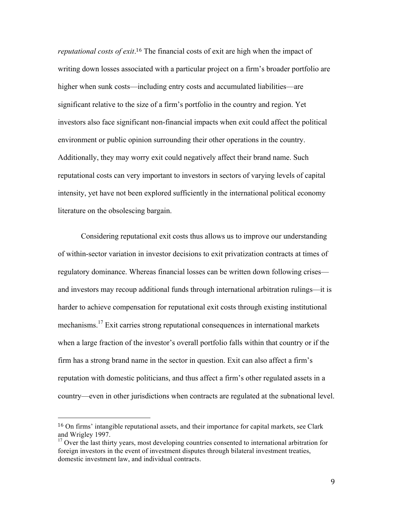*reputational costs of exit*. <sup>16</sup> The financial costs of exit are high when the impact of writing down losses associated with a particular project on a firm's broader portfolio are higher when sunk costs—including entry costs and accumulated liabilities—are significant relative to the size of a firm's portfolio in the country and region. Yet investors also face significant non-financial impacts when exit could affect the political environment or public opinion surrounding their other operations in the country. Additionally, they may worry exit could negatively affect their brand name. Such reputational costs can very important to investors in sectors of varying levels of capital intensity, yet have not been explored sufficiently in the international political economy literature on the obsolescing bargain.

Considering reputational exit costs thus allows us to improve our understanding of within-sector variation in investor decisions to exit privatization contracts at times of regulatory dominance. Whereas financial losses can be written down following crises and investors may recoup additional funds through international arbitration rulings—it is harder to achieve compensation for reputational exit costs through existing institutional mechanisms.<sup>17</sup> Exit carries strong reputational consequences in international markets when a large fraction of the investor's overall portfolio falls within that country or if the firm has a strong brand name in the sector in question. Exit can also affect a firm's reputation with domestic politicians, and thus affect a firm's other regulated assets in a country—even in other jurisdictions when contracts are regulated at the subnational level.

<sup>16</sup> On firms' intangible reputational assets, and their importance for capital markets, see Clark and Wrigley 1997.

 $17$  Over the last thirty years, most developing countries consented to international arbitration for foreign investors in the event of investment disputes through bilateral investment treaties, domestic investment law, and individual contracts.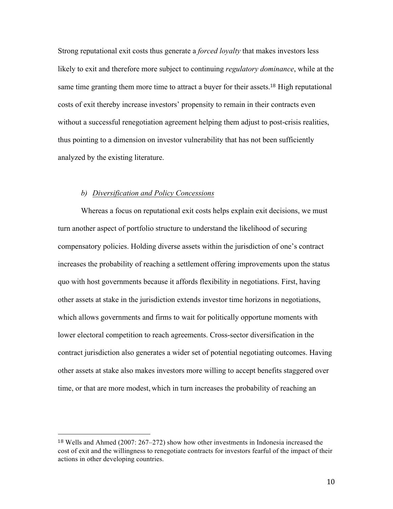Strong reputational exit costs thus generate a *forced loyalty* that makes investors less likely to exit and therefore more subject to continuing *regulatory dominance*, while at the same time granting them more time to attract a buyer for their assets.<sup>18</sup> High reputational costs of exit thereby increase investors' propensity to remain in their contracts even without a successful renegotiation agreement helping them adjust to post-crisis realities, thus pointing to a dimension on investor vulnerability that has not been sufficiently analyzed by the existing literature.

#### *b) Diversification and Policy Concessions*

 

Whereas a focus on reputational exit costs helps explain exit decisions, we must turn another aspect of portfolio structure to understand the likelihood of securing compensatory policies. Holding diverse assets within the jurisdiction of one's contract increases the probability of reaching a settlement offering improvements upon the status quo with host governments because it affords flexibility in negotiations. First, having other assets at stake in the jurisdiction extends investor time horizons in negotiations, which allows governments and firms to wait for politically opportune moments with lower electoral competition to reach agreements. Cross-sector diversification in the contract jurisdiction also generates a wider set of potential negotiating outcomes. Having other assets at stake also makes investors more willing to accept benefits staggered over time, or that are more modest, which in turn increases the probability of reaching an

<sup>18</sup> Wells and Ahmed (2007: 267–272) show how other investments in Indonesia increased the cost of exit and the willingness to renegotiate contracts for investors fearful of the impact of their actions in other developing countries.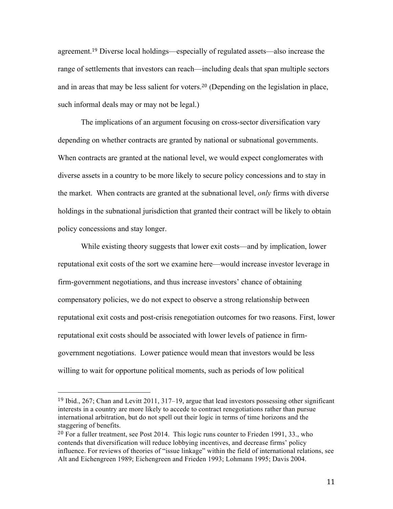agreement.<sup>19</sup> Diverse local holdings—especially of regulated assets—also increase the range of settlements that investors can reach—including deals that span multiple sectors and in areas that may be less salient for voters. <sup>20</sup> (Depending on the legislation in place, such informal deals may or may not be legal.)

The implications of an argument focusing on cross-sector diversification vary depending on whether contracts are granted by national or subnational governments. When contracts are granted at the national level, we would expect conglomerates with diverse assets in a country to be more likely to secure policy concessions and to stay in the market. When contracts are granted at the subnational level, *only* firms with diverse holdings in the subnational jurisdiction that granted their contract will be likely to obtain policy concessions and stay longer.

While existing theory suggests that lower exit costs—and by implication, lower reputational exit costs of the sort we examine here—would increase investor leverage in firm-government negotiations, and thus increase investors' chance of obtaining compensatory policies, we do not expect to observe a strong relationship between reputational exit costs and post-crisis renegotiation outcomes for two reasons. First, lower reputational exit costs should be associated with lower levels of patience in firmgovernment negotiations. Lower patience would mean that investors would be less willing to wait for opportune political moments, such as periods of low political

<sup>19</sup> Ibid., 267; Chan and Levitt 2011, 317–19, argue that lead investors possessing other significant interests in a country are more likely to accede to contract renegotiations rather than pursue international arbitration, but do not spell out their logic in terms of time horizons and the staggering of benefits.

<sup>20</sup> For a fuller treatment, see Post 2014. This logic runs counter to Frieden 1991, 33., who contends that diversification will reduce lobbying incentives, and decrease firms' policy influence. For reviews of theories of "issue linkage" within the field of international relations, see Alt and Eichengreen 1989; Eichengreen and Frieden 1993; Lohmann 1995; Davis 2004.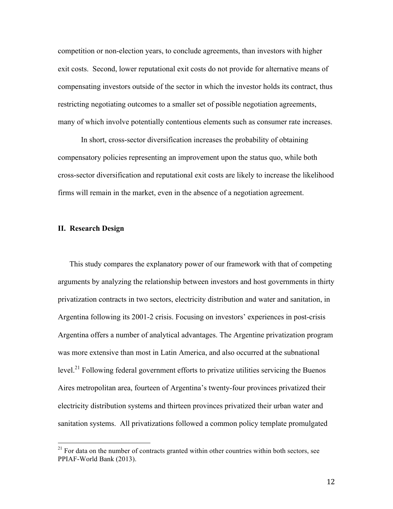competition or non-election years, to conclude agreements, than investors with higher exit costs. Second, lower reputational exit costs do not provide for alternative means of compensating investors outside of the sector in which the investor holds its contract, thus restricting negotiating outcomes to a smaller set of possible negotiation agreements, many of which involve potentially contentious elements such as consumer rate increases.

In short, cross-sector diversification increases the probability of obtaining compensatory policies representing an improvement upon the status quo, while both cross-sector diversification and reputational exit costs are likely to increase the likelihood firms will remain in the market, even in the absence of a negotiation agreement.

# **II. Research Design**

 

This study compares the explanatory power of our framework with that of competing arguments by analyzing the relationship between investors and host governments in thirty privatization contracts in two sectors, electricity distribution and water and sanitation, in Argentina following its 2001-2 crisis. Focusing on investors' experiences in post-crisis Argentina offers a number of analytical advantages. The Argentine privatization program was more extensive than most in Latin America, and also occurred at the subnational level.<sup>21</sup> Following federal government efforts to privatize utilities servicing the Buenos Aires metropolitan area, fourteen of Argentina's twenty-four provinces privatized their electricity distribution systems and thirteen provinces privatized their urban water and sanitation systems. All privatizations followed a common policy template promulgated

 $21$  For data on the number of contracts granted within other countries within both sectors, see PPIAF-World Bank (2013).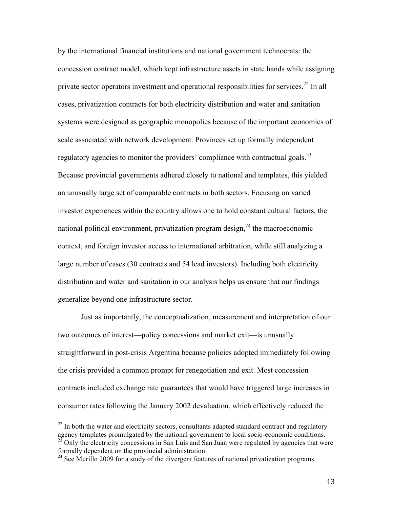by the international financial institutions and national government technocrats: the concession contract model, which kept infrastructure assets in state hands while assigning private sector operators investment and operational responsibilities for services.<sup>22</sup> In all cases, privatization contracts for both electricity distribution and water and sanitation systems were designed as geographic monopolies because of the important economies of scale associated with network development. Provinces set up formally independent regulatory agencies to monitor the providers' compliance with contractual goals.<sup>23</sup> Because provincial governments adhered closely to national and templates, this yielded an unusually large set of comparable contracts in both sectors. Focusing on varied investor experiences within the country allows one to hold constant cultural factors, the national political environment, privatization program design, $^{24}$  the macroeconomic context, and foreign investor access to international arbitration, while still analyzing a large number of cases (30 contracts and 54 lead investors). Including both electricity distribution and water and sanitation in our analysis helps us ensure that our findings generalize beyond one infrastructure sector.

Just as importantly, the conceptualization, measurement and interpretation of our two outcomes of interest—policy concessions and market exit—is unusually straightforward in post-crisis Argentina because policies adopted immediately following the crisis provided a common prompt for renegotiation and exit. Most concession contracts included exchange rate guarantees that would have triggered large increases in consumer rates following the January 2002 devaluation, which effectively reduced the

 $^{22}$  In both the water and electricity sectors, consultants adapted standard contract and regulatory agency templates promulgated by the national government to local socio-economic conditions.  $23$  Only the electricity concessions in San Luis and San Juan were regulated by agencies that were formally dependent on the provincial administration.

<sup>&</sup>lt;sup>24</sup> See Murillo 2009 for a study of the divergent features of national privatization programs.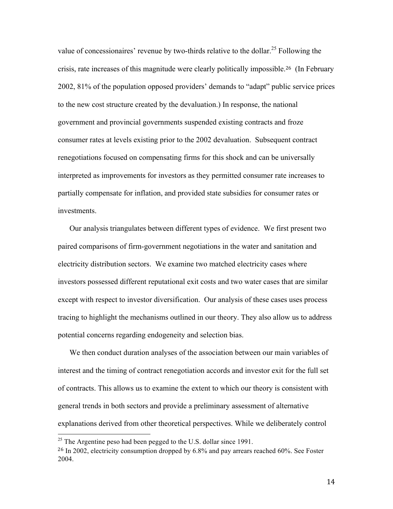value of concessionaires' revenue by two-thirds relative to the dollar.<sup>25</sup> Following the crisis, rate increases of this magnitude were clearly politically impossible.26 (In February 2002, 81% of the population opposed providers' demands to "adapt" public service prices to the new cost structure created by the devaluation.) In response, the national government and provincial governments suspended existing contracts and froze consumer rates at levels existing prior to the 2002 devaluation. Subsequent contract renegotiations focused on compensating firms for this shock and can be universally interpreted as improvements for investors as they permitted consumer rate increases to partially compensate for inflation, and provided state subsidies for consumer rates or investments.

Our analysis triangulates between different types of evidence. We first present two paired comparisons of firm-government negotiations in the water and sanitation and electricity distribution sectors. We examine two matched electricity cases where investors possessed different reputational exit costs and two water cases that are similar except with respect to investor diversification. Our analysis of these cases uses process tracing to highlight the mechanisms outlined in our theory. They also allow us to address potential concerns regarding endogeneity and selection bias.

We then conduct duration analyses of the association between our main variables of interest and the timing of contract renegotiation accords and investor exit for the full set of contracts. This allows us to examine the extent to which our theory is consistent with general trends in both sectors and provide a preliminary assessment of alternative explanations derived from other theoretical perspectives. While we deliberately control

<sup>&</sup>lt;sup>25</sup> The Argentine peso had been pegged to the U.S. dollar since 1991.

<sup>&</sup>lt;sup>26</sup> In 2002, electricity consumption dropped by 6.8% and pay arrears reached 60%. See Foster 2004.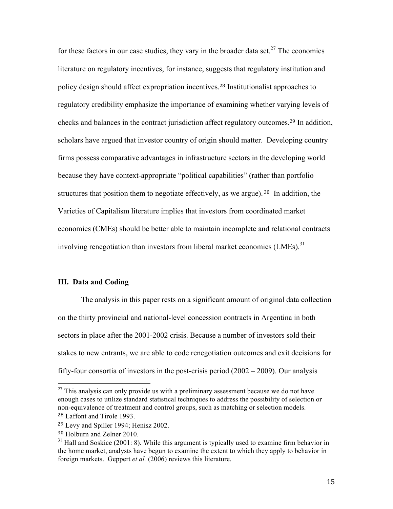for these factors in our case studies, they vary in the broader data set.<sup>27</sup> The economics literature on regulatory incentives, for instance, suggests that regulatory institution and policy design should affect expropriation incentives. <sup>28</sup> Institutionalist approaches to regulatory credibility emphasize the importance of examining whether varying levels of checks and balances in the contract jurisdiction affect regulatory outcomes.<sup>29</sup> In addition, scholars have argued that investor country of origin should matter. Developing country firms possess comparative advantages in infrastructure sectors in the developing world because they have context-appropriate "political capabilities" (rather than portfolio structures that position them to negotiate effectively, as we argue). <sup>30</sup> In addition, the Varieties of Capitalism literature implies that investors from coordinated market economies (CMEs) should be better able to maintain incomplete and relational contracts involving renegotiation than investors from liberal market economies  $(LMEs)$ .<sup>31</sup>

# **III. Data and Coding**

The analysis in this paper rests on a significant amount of original data collection on the thirty provincial and national-level concession contracts in Argentina in both sectors in place after the 2001-2002 crisis. Because a number of investors sold their stakes to new entrants, we are able to code renegotiation outcomes and exit decisions for fifty-four consortia of investors in the post-crisis period (2002 – 2009). Our analysis

 $27$  This analysis can only provide us with a preliminary assessment because we do not have enough cases to utilize standard statistical techniques to address the possibility of selection or non-equivalence of treatment and control groups, such as matching or selection models. <sup>28</sup> Laffont and Tirole 1993.

<sup>29</sup> Levy and Spiller 1994; Henisz 2002.

<sup>30</sup> Holburn and Zelner 2010.

 $31$  Hall and Soskice (2001: 8). While this argument is typically used to examine firm behavior in the home market, analysts have begun to examine the extent to which they apply to behavior in foreign markets. Geppert *et al.* (2006) reviews this literature.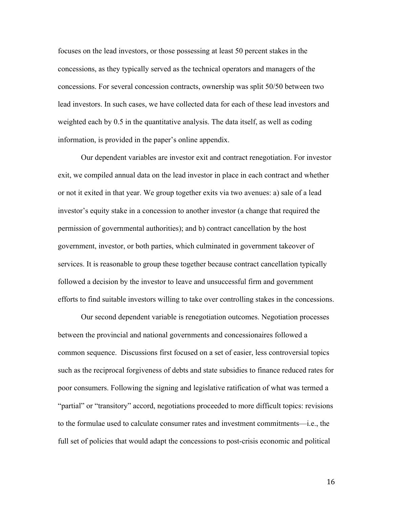focuses on the lead investors, or those possessing at least 50 percent stakes in the concessions, as they typically served as the technical operators and managers of the concessions. For several concession contracts, ownership was split 50/50 between two lead investors. In such cases, we have collected data for each of these lead investors and weighted each by 0.5 in the quantitative analysis. The data itself, as well as coding information, is provided in the paper's online appendix.

Our dependent variables are investor exit and contract renegotiation. For investor exit, we compiled annual data on the lead investor in place in each contract and whether or not it exited in that year. We group together exits via two avenues: a) sale of a lead investor's equity stake in a concession to another investor (a change that required the permission of governmental authorities); and b) contract cancellation by the host government, investor, or both parties, which culminated in government takeover of services. It is reasonable to group these together because contract cancellation typically followed a decision by the investor to leave and unsuccessful firm and government efforts to find suitable investors willing to take over controlling stakes in the concessions.

Our second dependent variable is renegotiation outcomes. Negotiation processes between the provincial and national governments and concessionaires followed a common sequence. Discussions first focused on a set of easier, less controversial topics such as the reciprocal forgiveness of debts and state subsidies to finance reduced rates for poor consumers. Following the signing and legislative ratification of what was termed a "partial" or "transitory" accord, negotiations proceeded to more difficult topics: revisions to the formulae used to calculate consumer rates and investment commitments—i.e., the full set of policies that would adapt the concessions to post-crisis economic and political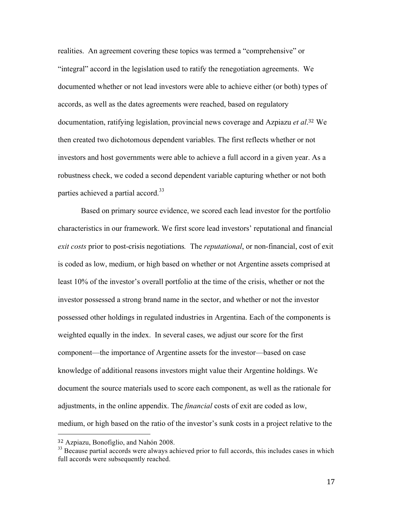realities. An agreement covering these topics was termed a "comprehensive" or "integral" accord in the legislation used to ratify the renegotiation agreements. We documented whether or not lead investors were able to achieve either (or both) types of accords, as well as the dates agreements were reached, based on regulatory documentation, ratifying legislation, provincial news coverage and Azpiazu *et al*. <sup>32</sup> We then created two dichotomous dependent variables. The first reflects whether or not investors and host governments were able to achieve a full accord in a given year. As a robustness check, we coded a second dependent variable capturing whether or not both parties achieved a partial accord.<sup>33</sup>

Based on primary source evidence, we scored each lead investor for the portfolio characteristics in our framework. We first score lead investors' reputational and financial *exit costs* prior to post-crisis negotiations*.* The *reputational*, or non-financial, cost of exit is coded as low, medium, or high based on whether or not Argentine assets comprised at least 10% of the investor's overall portfolio at the time of the crisis, whether or not the investor possessed a strong brand name in the sector, and whether or not the investor possessed other holdings in regulated industries in Argentina. Each of the components is weighted equally in the index. In several cases, we adjust our score for the first component—the importance of Argentine assets for the investor—based on case knowledge of additional reasons investors might value their Argentine holdings. We document the source materials used to score each component, as well as the rationale for adjustments, in the online appendix. The *financial* costs of exit are coded as low, medium, or high based on the ratio of the investor's sunk costs in a project relative to the

 

<sup>32</sup> Azpiazu, Bonofiglio, and Nahón 2008.

 $33$  Because partial accords were always achieved prior to full accords, this includes cases in which full accords were subsequently reached.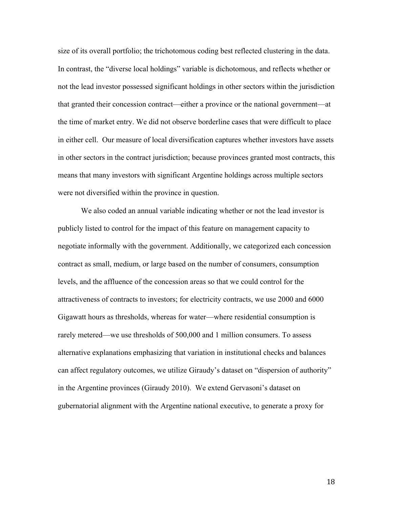size of its overall portfolio; the trichotomous coding best reflected clustering in the data. In contrast, the "diverse local holdings" variable is dichotomous, and reflects whether or not the lead investor possessed significant holdings in other sectors within the jurisdiction that granted their concession contract—either a province or the national government—at the time of market entry. We did not observe borderline cases that were difficult to place in either cell. Our measure of local diversification captures whether investors have assets in other sectors in the contract jurisdiction; because provinces granted most contracts, this means that many investors with significant Argentine holdings across multiple sectors were not diversified within the province in question.

We also coded an annual variable indicating whether or not the lead investor is publicly listed to control for the impact of this feature on management capacity to negotiate informally with the government. Additionally, we categorized each concession contract as small, medium, or large based on the number of consumers, consumption levels, and the affluence of the concession areas so that we could control for the attractiveness of contracts to investors; for electricity contracts, we use 2000 and 6000 Gigawatt hours as thresholds, whereas for water—where residential consumption is rarely metered—we use thresholds of 500,000 and 1 million consumers. To assess alternative explanations emphasizing that variation in institutional checks and balances can affect regulatory outcomes, we utilize Giraudy's dataset on "dispersion of authority" in the Argentine provinces (Giraudy 2010). We extend Gervasoni's dataset on gubernatorial alignment with the Argentine national executive, to generate a proxy for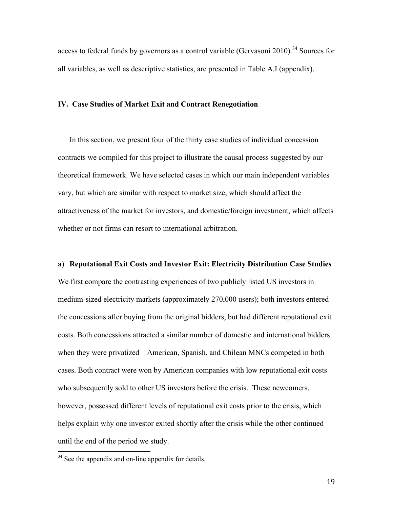access to federal funds by governors as a control variable (Gervasoni 2010).<sup>34</sup> Sources for all variables, as well as descriptive statistics, are presented in Table A.I (appendix).

#### **IV. Case Studies of Market Exit and Contract Renegotiation**

In this section, we present four of the thirty case studies of individual concession contracts we compiled for this project to illustrate the causal process suggested by our theoretical framework. We have selected cases in which our main independent variables vary, but which are similar with respect to market size, which should affect the attractiveness of the market for investors, and domestic/foreign investment, which affects whether or not firms can resort to international arbitration.

**a) Reputational Exit Costs and Investor Exit: Electricity Distribution Case Studies** We first compare the contrasting experiences of two publicly listed US investors in medium-sized electricity markets (approximately 270,000 users); both investors entered the concessions after buying from the original bidders, but had different reputational exit costs. Both concessions attracted a similar number of domestic and international bidders when they were privatized—American, Spanish, and Chilean MNCs competed in both cases. Both contract were won by American companies with low reputational exit costs who subsequently sold to other US investors before the crisis. These newcomers, however, possessed different levels of reputational exit costs prior to the crisis, which helps explain why one investor exited shortly after the crisis while the other continued until the end of the period we study.

<sup>&</sup>lt;sup>34</sup> See the appendix and on-line appendix for details.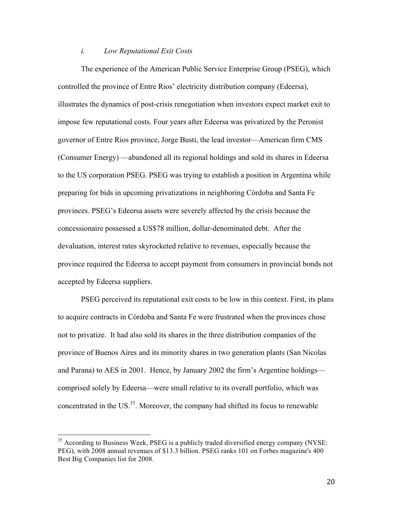## *i. Low Reputational Exit Costs*

The experience of the American Public Service Enterprise Group (PSEG), which controlled the province of Entre Rios' electricity distribution company (Edeersa), illustrates the dynamics of post-crisis renegotiation when investors expect market exit to impose few reputational costs. Four years after Edeersa was privatized by the Peronist governor of Entre Rios province, Jorge Busti, the lead investor—American firm CMS (Consumer Energy) —abandoned all its regional holdings and sold its shares in Edeersa to the US corporation PSEG. PSEG was trying to establish a position in Argentina while preparing for bids in upcoming privatizations in neighboring Córdoba and Santa Fe provinces. PSEG's Edeersa assets were severely affected by the crisis because the concessionaire possessed a US\$78 million, dollar-denominated debt. After the devaluation, interest rates skyrocketed relative to revenues, especially because the province required the Edeersa to accept payment from consumers in provincial bonds not accepted by Edeersa suppliers.

PSEG perceived its reputational exit costs to be low in this context. First, its plans to acquire contracts in Córdoba and Santa Fe were frustrated when the provinces chose not to privatize. It had also sold its shares in the three distribution companies of the province of Buenos Aires and its minority shares in two generation plants (San Nicolas and Parana) to AES in 2001. Hence, by January 2002 the firm's Argentine holdings comprised solely by Edeersa—were small relative to its overall portfolio, which was concentrated in the US.<sup>35</sup>. Moreover, the company had shifted its focus to renewable

<sup>&</sup>lt;sup>35</sup> According to Business Week, PSEG is a publicly traded diversified energy company (NYSE: PEG), with 2008 annual revenues of \$13.3 billion. PSEG ranks 101 on Forbes magazine's 400 Best Big Companies list for 2008.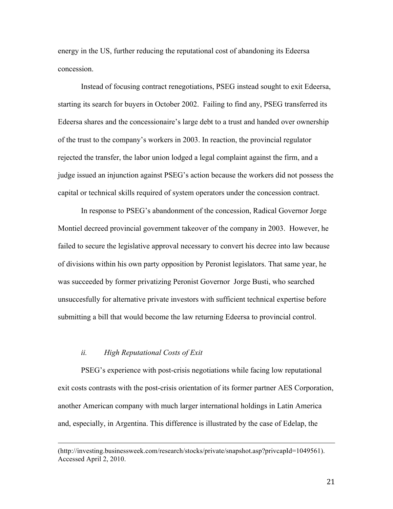energy in the US, further reducing the reputational cost of abandoning its Edeersa concession.

Instead of focusing contract renegotiations, PSEG instead sought to exit Edeersa, starting its search for buyers in October 2002. Failing to find any, PSEG transferred its Edeersa shares and the concessionaire's large debt to a trust and handed over ownership of the trust to the company's workers in 2003. In reaction, the provincial regulator rejected the transfer, the labor union lodged a legal complaint against the firm, and a judge issued an injunction against PSEG's action because the workers did not possess the capital or technical skills required of system operators under the concession contract.

In response to PSEG's abandonment of the concession, Radical Governor Jorge Montiel decreed provincial government takeover of the company in 2003. However, he failed to secure the legislative approval necessary to convert his decree into law because of divisions within his own party opposition by Peronist legislators. That same year, he was succeeded by former privatizing Peronist Governor Jorge Busti, who searched unsuccesfully for alternative private investors with sufficient technical expertise before submitting a bill that would become the law returning Edeersa to provincial control.

#### *ii. High Reputational Costs of Exit*

PSEG's experience with post-crisis negotiations while facing low reputational exit costs contrasts with the post-crisis orientation of its former partner AES Corporation, another American company with much larger international holdings in Latin America and, especially, in Argentina. This difference is illustrated by the case of Edelap, the

<u> 1989 - Johann Barbert, fransk politik (d. 1989)</u>

<sup>(</sup>http://investing.businessweek.com/research/stocks/private/snapshot.asp?privcapId=1049561). Accessed April 2, 2010.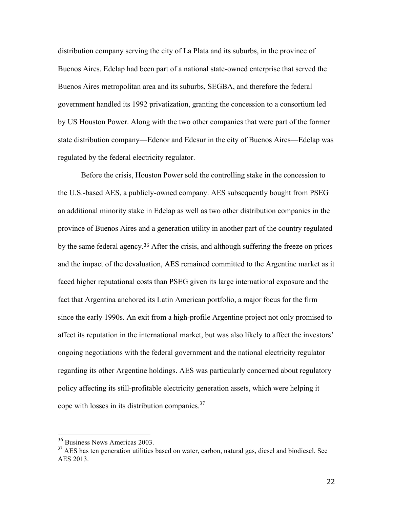distribution company serving the city of La Plata and its suburbs, in the province of Buenos Aires. Edelap had been part of a national state-owned enterprise that served the Buenos Aires metropolitan area and its suburbs, SEGBA, and therefore the federal government handled its 1992 privatization, granting the concession to a consortium led by US Houston Power. Along with the two other companies that were part of the former state distribution company—Edenor and Edesur in the city of Buenos Aires—Edelap was regulated by the federal electricity regulator.

Before the crisis, Houston Power sold the controlling stake in the concession to the U.S.-based AES, a publicly-owned company. AES subsequently bought from PSEG an additional minority stake in Edelap as well as two other distribution companies in the province of Buenos Aires and a generation utility in another part of the country regulated by the same federal agency.<sup>36</sup> After the crisis, and although suffering the freeze on prices and the impact of the devaluation, AES remained committed to the Argentine market as it faced higher reputational costs than PSEG given its large international exposure and the fact that Argentina anchored its Latin American portfolio, a major focus for the firm since the early 1990s. An exit from a high-profile Argentine project not only promised to affect its reputation in the international market, but was also likely to affect the investors' ongoing negotiations with the federal government and the national electricity regulator regarding its other Argentine holdings. AES was particularly concerned about regulatory policy affecting its still-profitable electricity generation assets, which were helping it cope with losses in its distribution companies.<sup>37</sup>

 <sup>36</sup> Business News Americas 2003.

 $37$  AES has ten generation utilities based on water, carbon, natural gas, diesel and biodiesel. See AES 2013.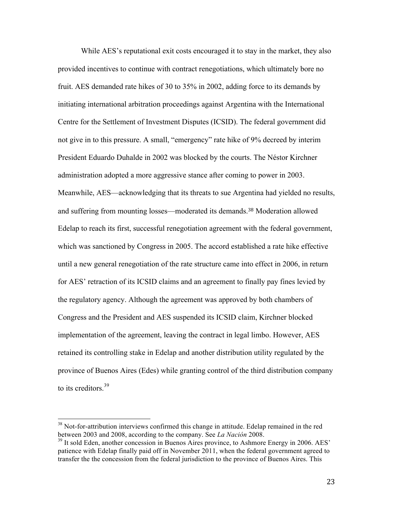While AES's reputational exit costs encouraged it to stay in the market, they also provided incentives to continue with contract renegotiations, which ultimately bore no fruit. AES demanded rate hikes of 30 to 35% in 2002, adding force to its demands by initiating international arbitration proceedings against Argentina with the International Centre for the Settlement of Investment Disputes (ICSID). The federal government did not give in to this pressure. A small, "emergency" rate hike of 9% decreed by interim President Eduardo Duhalde in 2002 was blocked by the courts. The Néstor Kirchner administration adopted a more aggressive stance after coming to power in 2003. Meanwhile, AES—acknowledging that its threats to sue Argentina had yielded no results, and suffering from mounting losses—moderated its demands.<sup>38</sup> Moderation allowed Edelap to reach its first, successful renegotiation agreement with the federal government, which was sanctioned by Congress in 2005. The accord established a rate hike effective until a new general renegotiation of the rate structure came into effect in 2006, in return for AES' retraction of its ICSID claims and an agreement to finally pay fines levied by the regulatory agency. Although the agreement was approved by both chambers of Congress and the President and AES suspended its ICSID claim, Kirchner blocked implementation of the agreement, leaving the contract in legal limbo. However, AES retained its controlling stake in Edelap and another distribution utility regulated by the province of Buenos Aires (Edes) while granting control of the third distribution company to its creditors.<sup>39</sup>

<sup>&</sup>lt;sup>38</sup> Not-for-attribution interviews confirmed this change in attitude. Edelap remained in the red between 2003 and 2008, according to the company. See *La Nación* 2008.

 $39$  It sold Eden, another concession in Buenos Aires province, to Ashmore Energy in 2006. AES' patience with Edelap finally paid off in November 2011, when the federal government agreed to transfer the the concession from the federal jurisdiction to the province of Buenos Aires. This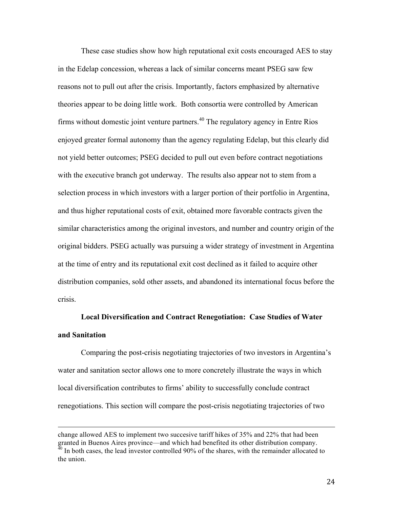These case studies show how high reputational exit costs encouraged AES to stay in the Edelap concession, whereas a lack of similar concerns meant PSEG saw few reasons not to pull out after the crisis. Importantly, factors emphasized by alternative theories appear to be doing little work. Both consortia were controlled by American firms without domestic joint venture partners.<sup>40</sup> The regulatory agency in Entre Rios enjoyed greater formal autonomy than the agency regulating Edelap, but this clearly did not yield better outcomes; PSEG decided to pull out even before contract negotiations with the executive branch got underway. The results also appear not to stem from a selection process in which investors with a larger portion of their portfolio in Argentina, and thus higher reputational costs of exit, obtained more favorable contracts given the similar characteristics among the original investors, and number and country origin of the original bidders. PSEG actually was pursuing a wider strategy of investment in Argentina at the time of entry and its reputational exit cost declined as it failed to acquire other distribution companies, sold other assets, and abandoned its international focus before the crisis.

# **Local Diversification and Contract Renegotiation: Case Studies of Water and Sanitation**

Comparing the post-crisis negotiating trajectories of two investors in Argentina's water and sanitation sector allows one to more concretely illustrate the ways in which local diversification contributes to firms' ability to successfully conclude contract renegotiations. This section will compare the post-crisis negotiating trajectories of two

<u> 1989 - Johann Barbert, fransk politik (d. 1989)</u>

change allowed AES to implement two succesive tariff hikes of 35% and 22% that had been granted in Buenos Aires province—and which had benefited its other distribution company.

 $\frac{40}{40}$  In both cases, the lead investor controlled 90% of the shares, with the remainder allocated to the union.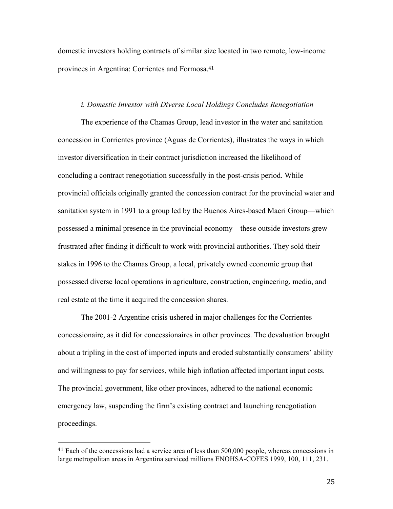domestic investors holding contracts of similar size located in two remote, low-income provinces in Argentina: Corrientes and Formosa.<sup>41</sup>

#### *i. Domestic Investor with Diverse Local Holdings Concludes Renegotiation*

The experience of the Chamas Group, lead investor in the water and sanitation concession in Corrientes province (Aguas de Corrientes), illustrates the ways in which investor diversification in their contract jurisdiction increased the likelihood of concluding a contract renegotiation successfully in the post-crisis period. While provincial officials originally granted the concession contract for the provincial water and sanitation system in 1991 to a group led by the Buenos Aires-based Macri Group—which possessed a minimal presence in the provincial economy—these outside investors grew frustrated after finding it difficult to work with provincial authorities. They sold their stakes in 1996 to the Chamas Group, a local, privately owned economic group that possessed diverse local operations in agriculture, construction, engineering, media, and real estate at the time it acquired the concession shares.

The 2001-2 Argentine crisis ushered in major challenges for the Corrientes concessionaire, as it did for concessionaires in other provinces. The devaluation brought about a tripling in the cost of imported inputs and eroded substantially consumers' ability and willingness to pay for services, while high inflation affected important input costs. The provincial government, like other provinces, adhered to the national economic emergency law, suspending the firm's existing contract and launching renegotiation proceedings.

<sup>&</sup>lt;sup>41</sup> Each of the concessions had a service area of less than 500,000 people, whereas concessions in large metropolitan areas in Argentina serviced millions ENOHSA-COFES 1999, 100, 111, 231.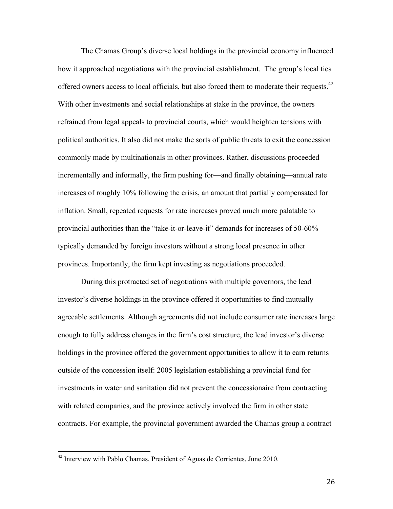The Chamas Group's diverse local holdings in the provincial economy influenced how it approached negotiations with the provincial establishment. The group's local ties offered owners access to local officials, but also forced them to moderate their requests.<sup>42</sup> With other investments and social relationships at stake in the province, the owners refrained from legal appeals to provincial courts, which would heighten tensions with political authorities. It also did not make the sorts of public threats to exit the concession commonly made by multinationals in other provinces. Rather, discussions proceeded incrementally and informally, the firm pushing for—and finally obtaining—annual rate increases of roughly 10% following the crisis, an amount that partially compensated for inflation. Small, repeated requests for rate increases proved much more palatable to provincial authorities than the "take-it-or-leave-it" demands for increases of 50-60% typically demanded by foreign investors without a strong local presence in other provinces. Importantly, the firm kept investing as negotiations proceeded.

During this protracted set of negotiations with multiple governors, the lead investor's diverse holdings in the province offered it opportunities to find mutually agreeable settlements. Although agreements did not include consumer rate increases large enough to fully address changes in the firm's cost structure, the lead investor's diverse holdings in the province offered the government opportunities to allow it to earn returns outside of the concession itself: 2005 legislation establishing a provincial fund for investments in water and sanitation did not prevent the concessionaire from contracting with related companies, and the province actively involved the firm in other state contracts. For example, the provincial government awarded the Chamas group a contract

 <sup>42</sup> Interview with Pablo Chamas, President of Aguas de Corrientes, June 2010.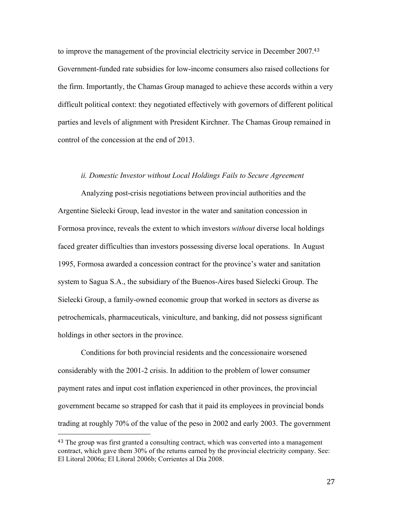to improve the management of the provincial electricity service in December 2007.<sup>43</sup> Government-funded rate subsidies for low-income consumers also raised collections for the firm. Importantly, the Chamas Group managed to achieve these accords within a very difficult political context: they negotiated effectively with governors of different political parties and levels of alignment with President Kirchner. The Chamas Group remained in control of the concession at the end of 2013.

## *ii. Domestic Investor without Local Holdings Fails to Secure Agreement*

Analyzing post-crisis negotiations between provincial authorities and the Argentine Sielecki Group, lead investor in the water and sanitation concession in Formosa province, reveals the extent to which investors *without* diverse local holdings faced greater difficulties than investors possessing diverse local operations. In August 1995, Formosa awarded a concession contract for the province's water and sanitation system to Sagua S.A., the subsidiary of the Buenos-Aires based Sielecki Group. The Sielecki Group, a family-owned economic group that worked in sectors as diverse as petrochemicals, pharmaceuticals, viniculture, and banking, did not possess significant holdings in other sectors in the province.

Conditions for both provincial residents and the concessionaire worsened considerably with the 2001-2 crisis. In addition to the problem of lower consumer payment rates and input cost inflation experienced in other provinces, the provincial government became so strapped for cash that it paid its employees in provincial bonds trading at roughly 70% of the value of the peso in 2002 and early 2003. The government

<sup>&</sup>lt;sup>43</sup> The group was first granted a consulting contract, which was converted into a management contract, which gave them 30% of the returns earned by the provincial electricity company. See: El Litoral 2006a; El Litoral 2006b; Corrientes al Día 2008.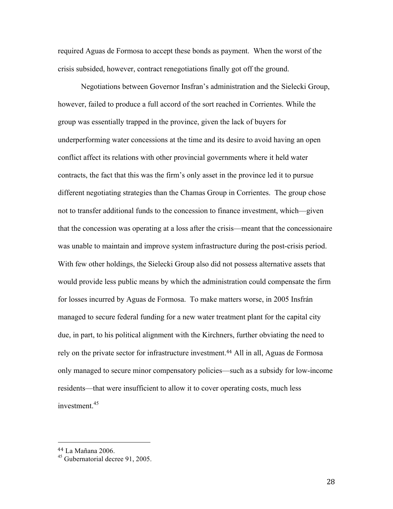required Aguas de Formosa to accept these bonds as payment. When the worst of the crisis subsided, however, contract renegotiations finally got off the ground.

Negotiations between Governor Insfran's administration and the Sielecki Group, however, failed to produce a full accord of the sort reached in Corrientes. While the group was essentially trapped in the province, given the lack of buyers for underperforming water concessions at the time and its desire to avoid having an open conflict affect its relations with other provincial governments where it held water contracts, the fact that this was the firm's only asset in the province led it to pursue different negotiating strategies than the Chamas Group in Corrientes. The group chose not to transfer additional funds to the concession to finance investment, which—given that the concession was operating at a loss after the crisis—meant that the concessionaire was unable to maintain and improve system infrastructure during the post-crisis period. With few other holdings, the Sielecki Group also did not possess alternative assets that would provide less public means by which the administration could compensate the firm for losses incurred by Aguas de Formosa. To make matters worse, in 2005 Insfrán managed to secure federal funding for a new water treatment plant for the capital city due, in part, to his political alignment with the Kirchners, further obviating the need to rely on the private sector for infrastructure investment.<sup>44</sup> All in all, Aguas de Formosa only managed to secure minor compensatory policies—such as a subsidy for low-income residents—that were insufficient to allow it to cover operating costs, much less investment $45$ 

<sup>44</sup> La Mañana 2006.

<sup>45</sup> Gubernatorial decree 91, 2005.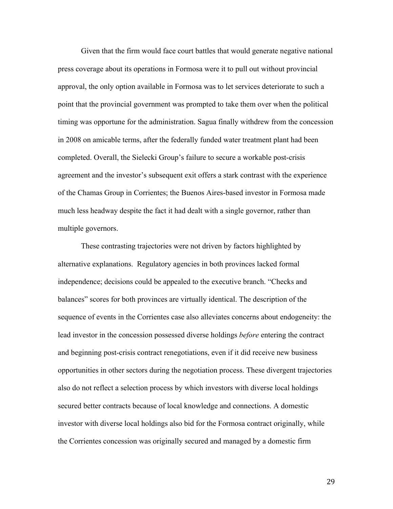Given that the firm would face court battles that would generate negative national press coverage about its operations in Formosa were it to pull out without provincial approval, the only option available in Formosa was to let services deteriorate to such a point that the provincial government was prompted to take them over when the political timing was opportune for the administration. Sagua finally withdrew from the concession in 2008 on amicable terms, after the federally funded water treatment plant had been completed. Overall, the Sielecki Group's failure to secure a workable post-crisis agreement and the investor's subsequent exit offers a stark contrast with the experience of the Chamas Group in Corrientes; the Buenos Aires-based investor in Formosa made much less headway despite the fact it had dealt with a single governor, rather than multiple governors.

These contrasting trajectories were not driven by factors highlighted by alternative explanations. Regulatory agencies in both provinces lacked formal independence; decisions could be appealed to the executive branch. "Checks and balances" scores for both provinces are virtually identical. The description of the sequence of events in the Corrientes case also alleviates concerns about endogeneity: the lead investor in the concession possessed diverse holdings *before* entering the contract and beginning post-crisis contract renegotiations, even if it did receive new business opportunities in other sectors during the negotiation process. These divergent trajectories also do not reflect a selection process by which investors with diverse local holdings secured better contracts because of local knowledge and connections. A domestic investor with diverse local holdings also bid for the Formosa contract originally, while the Corrientes concession was originally secured and managed by a domestic firm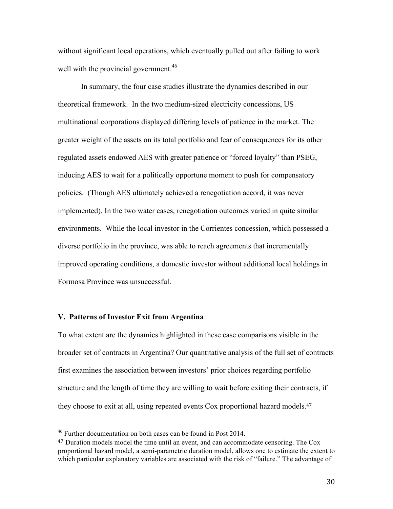without significant local operations, which eventually pulled out after failing to work well with the provincial government.<sup>46</sup>

In summary, the four case studies illustrate the dynamics described in our theoretical framework. In the two medium-sized electricity concessions, US multinational corporations displayed differing levels of patience in the market. The greater weight of the assets on its total portfolio and fear of consequences for its other regulated assets endowed AES with greater patience or "forced loyalty" than PSEG, inducing AES to wait for a politically opportune moment to push for compensatory policies. (Though AES ultimately achieved a renegotiation accord, it was never implemented). In the two water cases, renegotiation outcomes varied in quite similar environments. While the local investor in the Corrientes concession, which possessed a diverse portfolio in the province, was able to reach agreements that incrementally improved operating conditions, a domestic investor without additional local holdings in Formosa Province was unsuccessful.

## **V. Patterns of Investor Exit from Argentina**

To what extent are the dynamics highlighted in these case comparisons visible in the broader set of contracts in Argentina? Our quantitative analysis of the full set of contracts first examines the association between investors' prior choices regarding portfolio structure and the length of time they are willing to wait before exiting their contracts, if they choose to exit at all, using repeated events Cox proportional hazard models. 47

 $46$  Further documentation on both cases can be found in Post 2014.

<sup>&</sup>lt;sup>47</sup> Duration models model the time until an event, and can accommodate censoring. The Cox proportional hazard model, a semi-parametric duration model, allows one to estimate the extent to which particular explanatory variables are associated with the risk of "failure." The advantage of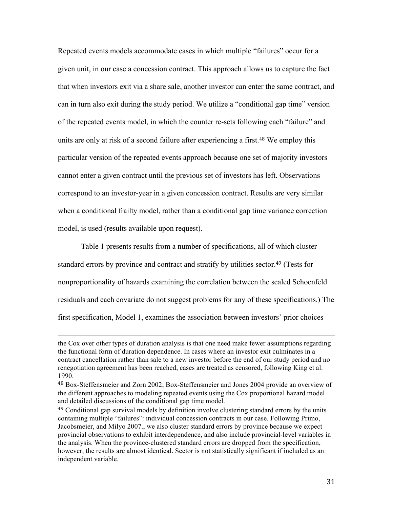Repeated events models accommodate cases in which multiple "failures" occur for a given unit, in our case a concession contract. This approach allows us to capture the fact that when investors exit via a share sale, another investor can enter the same contract, and can in turn also exit during the study period. We utilize a "conditional gap time" version of the repeated events model, in which the counter re-sets following each "failure" and units are only at risk of a second failure after experiencing a first. <sup>48</sup> We employ this particular version of the repeated events approach because one set of majority investors cannot enter a given contract until the previous set of investors has left. Observations correspond to an investor-year in a given concession contract. Results are very similar when a conditional frailty model, rather than a conditional gap time variance correction model, is used (results available upon request).

Table 1 presents results from a number of specifications, all of which cluster standard errors by province and contract and stratify by utilities sector.<sup>49</sup> (Tests for nonproportionality of hazards examining the correlation between the scaled Schoenfeld residuals and each covariate do not suggest problems for any of these specifications.) The first specification, Model 1, examines the association between investors' prior choices

<u> 1989 - Johann Barbert, fransk politik (d. 1989)</u>

the Cox over other types of duration analysis is that one need make fewer assumptions regarding the functional form of duration dependence. In cases where an investor exit culminates in a contract cancellation rather than sale to a new investor before the end of our study period and no renegotiation agreement has been reached, cases are treated as censored, following King et al. 1990.

<sup>48</sup> Box-Steffensmeier and Zorn 2002; Box-Steffensmeier and Jones 2004 provide an overview of the different approaches to modeling repeated events using the Cox proportional hazard model and detailed discussions of the conditional gap time model.

<sup>49</sup> Conditional gap survival models by definition involve clustering standard errors by the units containing multiple "failures": individual concession contracts in our case. Following Primo, Jacobsmeier, and Milyo 2007., we also cluster standard errors by province because we expect provincial observations to exhibit interdependence, and also include provincial-level variables in the analysis. When the province-clustered standard errors are dropped from the specification, however, the results are almost identical. Sector is not statistically significant if included as an independent variable.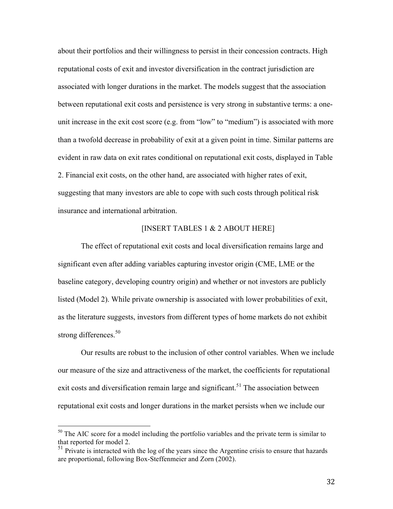about their portfolios and their willingness to persist in their concession contracts. High reputational costs of exit and investor diversification in the contract jurisdiction are associated with longer durations in the market. The models suggest that the association between reputational exit costs and persistence is very strong in substantive terms: a oneunit increase in the exit cost score (e.g. from "low" to "medium") is associated with more than a twofold decrease in probability of exit at a given point in time. Similar patterns are evident in raw data on exit rates conditional on reputational exit costs, displayed in Table 2. Financial exit costs, on the other hand, are associated with higher rates of exit, suggesting that many investors are able to cope with such costs through political risk insurance and international arbitration.

# [INSERT TABLES 1 & 2 ABOUT HERE]

The effect of reputational exit costs and local diversification remains large and significant even after adding variables capturing investor origin (CME, LME or the baseline category, developing country origin) and whether or not investors are publicly listed (Model 2). While private ownership is associated with lower probabilities of exit, as the literature suggests, investors from different types of home markets do not exhibit strong differences.<sup>50</sup>

Our results are robust to the inclusion of other control variables. When we include our measure of the size and attractiveness of the market, the coefficients for reputational exit costs and diversification remain large and significant.<sup>51</sup> The association between reputational exit costs and longer durations in the market persists when we include our

<sup>&</sup>lt;sup>50</sup> The AIC score for a model including the portfolio variables and the private term is similar to that reported for model 2.

 $51$  Private is interacted with the log of the years since the Argentine crisis to ensure that hazards are proportional, following Box-Steffenmeier and Zorn (2002).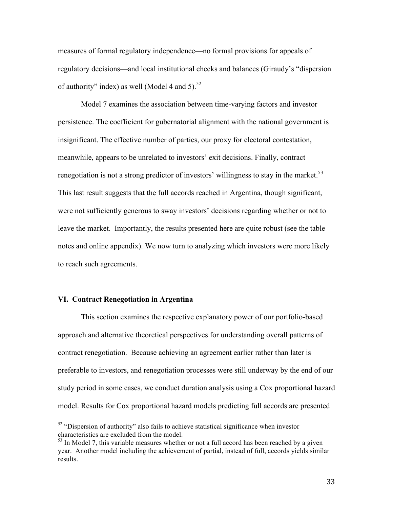measures of formal regulatory independence—no formal provisions for appeals of regulatory decisions—and local institutional checks and balances (Giraudy's "dispersion of authority" index) as well (Model 4 and 5). $52$ 

Model 7 examines the association between time-varying factors and investor persistence. The coefficient for gubernatorial alignment with the national government is insignificant. The effective number of parties, our proxy for electoral contestation, meanwhile, appears to be unrelated to investors' exit decisions. Finally, contract renegotiation is not a strong predictor of investors' willingness to stay in the market. $53$ This last result suggests that the full accords reached in Argentina, though significant, were not sufficiently generous to sway investors' decisions regarding whether or not to leave the market. Importantly, the results presented here are quite robust (see the table notes and online appendix). We now turn to analyzing which investors were more likely to reach such agreements.

### **VI. Contract Renegotiation in Argentina**

This section examines the respective explanatory power of our portfolio-based approach and alternative theoretical perspectives for understanding overall patterns of contract renegotiation. Because achieving an agreement earlier rather than later is preferable to investors, and renegotiation processes were still underway by the end of our study period in some cases, we conduct duration analysis using a Cox proportional hazard model. Results for Cox proportional hazard models predicting full accords are presented

<sup>&</sup>lt;sup>52</sup> "Dispersion of authority" also fails to achieve statistical significance when investor characteristics are excluded from the model.

 $<sup>53</sup>$  In Model 7, this variable measures whether or not a full accord has been reached by a given</sup> year. Another model including the achievement of partial, instead of full, accords yields similar results.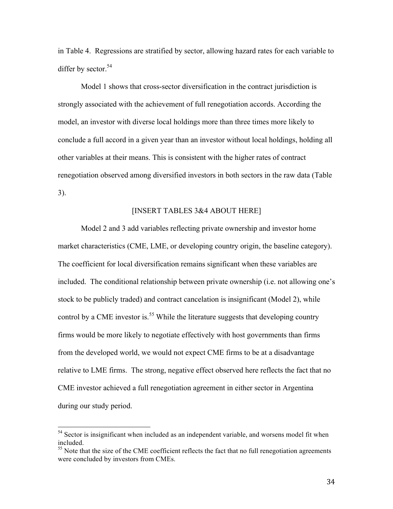in Table 4. Regressions are stratified by sector, allowing hazard rates for each variable to differ by sector. $54$ 

Model 1 shows that cross-sector diversification in the contract jurisdiction is strongly associated with the achievement of full renegotiation accords. According the model, an investor with diverse local holdings more than three times more likely to conclude a full accord in a given year than an investor without local holdings, holding all other variables at their means. This is consistent with the higher rates of contract renegotiation observed among diversified investors in both sectors in the raw data (Table 3).

#### [INSERT TABLES 3&4 ABOUT HERE]

Model 2 and 3 add variables reflecting private ownership and investor home market characteristics (CME, LME, or developing country origin, the baseline category). The coefficient for local diversification remains significant when these variables are included. The conditional relationship between private ownership (i.e. not allowing one's stock to be publicly traded) and contract cancelation is insignificant (Model 2), while control by a CME investor is.<sup>55</sup> While the literature suggests that developing country firms would be more likely to negotiate effectively with host governments than firms from the developed world, we would not expect CME firms to be at a disadvantage relative to LME firms. The strong, negative effect observed here reflects the fact that no CME investor achieved a full renegotiation agreement in either sector in Argentina during our study period.

 $54$  Sector is insignificant when included as an independent variable, and worsens model fit when included.

<sup>&</sup>lt;sup>55</sup> Note that the size of the CME coefficient reflects the fact that no full renegotiation agreements were concluded by investors from CMEs.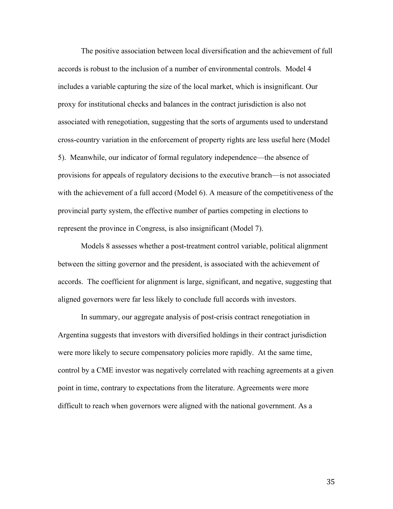The positive association between local diversification and the achievement of full accords is robust to the inclusion of a number of environmental controls. Model 4 includes a variable capturing the size of the local market, which is insignificant. Our proxy for institutional checks and balances in the contract jurisdiction is also not associated with renegotiation, suggesting that the sorts of arguments used to understand cross-country variation in the enforcement of property rights are less useful here (Model 5). Meanwhile, our indicator of formal regulatory independence—the absence of provisions for appeals of regulatory decisions to the executive branch—is not associated with the achievement of a full accord (Model 6). A measure of the competitiveness of the provincial party system, the effective number of parties competing in elections to represent the province in Congress, is also insignificant (Model 7).

Models 8 assesses whether a post-treatment control variable, political alignment between the sitting governor and the president, is associated with the achievement of accords. The coefficient for alignment is large, significant, and negative, suggesting that aligned governors were far less likely to conclude full accords with investors.

In summary, our aggregate analysis of post-crisis contract renegotiation in Argentina suggests that investors with diversified holdings in their contract jurisdiction were more likely to secure compensatory policies more rapidly. At the same time, control by a CME investor was negatively correlated with reaching agreements at a given point in time, contrary to expectations from the literature. Agreements were more difficult to reach when governors were aligned with the national government. As a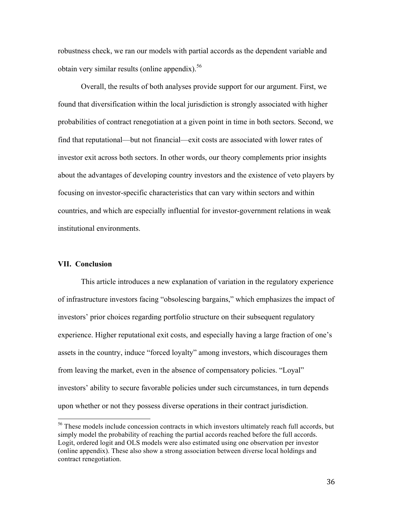robustness check, we ran our models with partial accords as the dependent variable and obtain very similar results (online appendix). 56

Overall, the results of both analyses provide support for our argument. First, we found that diversification within the local jurisdiction is strongly associated with higher probabilities of contract renegotiation at a given point in time in both sectors. Second, we find that reputational—but not financial—exit costs are associated with lower rates of investor exit across both sectors. In other words, our theory complements prior insights about the advantages of developing country investors and the existence of veto players by focusing on investor-specific characteristics that can vary within sectors and within countries, and which are especially influential for investor-government relations in weak institutional environments.

#### **VII. Conclusion**

This article introduces a new explanation of variation in the regulatory experience of infrastructure investors facing "obsolescing bargains," which emphasizes the impact of investors' prior choices regarding portfolio structure on their subsequent regulatory experience. Higher reputational exit costs, and especially having a large fraction of one's assets in the country, induce "forced loyalty" among investors, which discourages them from leaving the market, even in the absence of compensatory policies. "Loyal" investors' ability to secure favorable policies under such circumstances, in turn depends upon whether or not they possess diverse operations in their contract jurisdiction.

<sup>&</sup>lt;sup>56</sup> These models include concession contracts in which investors ultimately reach full accords, but simply model the probability of reaching the partial accords reached before the full accords. Logit, ordered logit and OLS models were also estimated using one observation per investor (online appendix). These also show a strong association between diverse local holdings and contract renegotiation.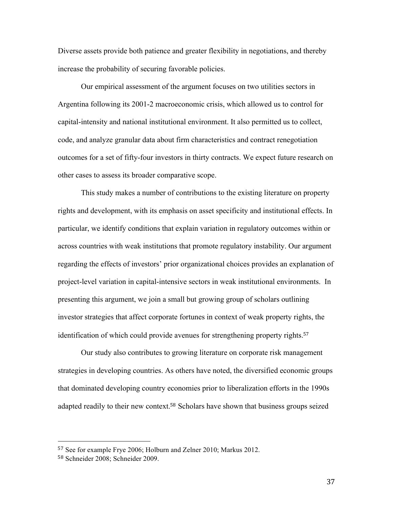Diverse assets provide both patience and greater flexibility in negotiations, and thereby increase the probability of securing favorable policies.

Our empirical assessment of the argument focuses on two utilities sectors in Argentina following its 2001-2 macroeconomic crisis, which allowed us to control for capital-intensity and national institutional environment. It also permitted us to collect, code, and analyze granular data about firm characteristics and contract renegotiation outcomes for a set of fifty-four investors in thirty contracts. We expect future research on other cases to assess its broader comparative scope.

This study makes a number of contributions to the existing literature on property rights and development, with its emphasis on asset specificity and institutional effects. In particular, we identify conditions that explain variation in regulatory outcomes within or across countries with weak institutions that promote regulatory instability. Our argument regarding the effects of investors' prior organizational choices provides an explanation of project-level variation in capital-intensive sectors in weak institutional environments. In presenting this argument, we join a small but growing group of scholars outlining investor strategies that affect corporate fortunes in context of weak property rights, the identification of which could provide avenues for strengthening property rights.<sup>57</sup>

Our study also contributes to growing literature on corporate risk management strategies in developing countries. As others have noted, the diversified economic groups that dominated developing country economies prior to liberalization efforts in the 1990s adapted readily to their new context.<sup>58</sup> Scholars have shown that business groups seized

<sup>57</sup> See for example Frye 2006; Holburn and Zelner 2010; Markus 2012.

<sup>58</sup> Schneider 2008; Schneider 2009.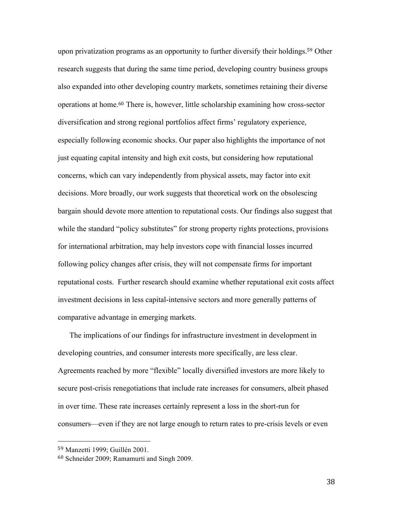upon privatization programs as an opportunity to further diversify their holdings.<sup>59</sup> Other research suggests that during the same time period, developing country business groups also expanded into other developing country markets, sometimes retaining their diverse operations at home.<sup>60</sup> There is, however, little scholarship examining how cross-sector diversification and strong regional portfolios affect firms' regulatory experience, especially following economic shocks. Our paper also highlights the importance of not just equating capital intensity and high exit costs, but considering how reputational concerns, which can vary independently from physical assets, may factor into exit decisions. More broadly, our work suggests that theoretical work on the obsolescing bargain should devote more attention to reputational costs. Our findings also suggest that while the standard "policy substitutes" for strong property rights protections, provisions for international arbitration, may help investors cope with financial losses incurred following policy changes after crisis, they will not compensate firms for important reputational costs. Further research should examine whether reputational exit costs affect investment decisions in less capital-intensive sectors and more generally patterns of comparative advantage in emerging markets.

The implications of our findings for infrastructure investment in development in developing countries, and consumer interests more specifically, are less clear. Agreements reached by more "flexible" locally diversified investors are more likely to secure post-crisis renegotiations that include rate increases for consumers, albeit phased in over time. These rate increases certainly represent a loss in the short-run for consumers—even if they are not large enough to return rates to pre-crisis levels or even

 <sup>59</sup> Manzetti 1999; Guillén 2001.

<sup>60</sup> Schneider 2009; Ramamurti and Singh 2009.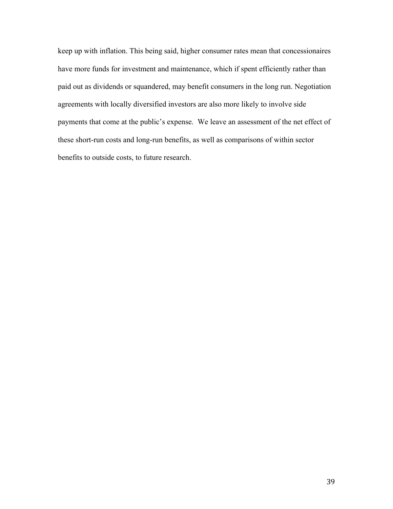keep up with inflation. This being said, higher consumer rates mean that concessionaires have more funds for investment and maintenance, which if spent efficiently rather than paid out as dividends or squandered, may benefit consumers in the long run. Negotiation agreements with locally diversified investors are also more likely to involve side payments that come at the public's expense. We leave an assessment of the net effect of these short-run costs and long-run benefits, as well as comparisons of within sector benefits to outside costs, to future research.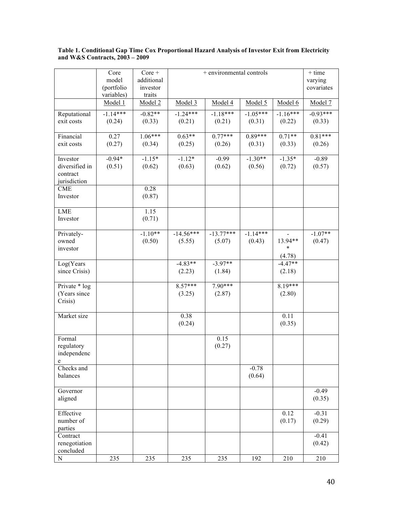|                                            | Core       | $Core +$   |                    | + environmental controls |            |            | $+$ time   |
|--------------------------------------------|------------|------------|--------------------|--------------------------|------------|------------|------------|
|                                            | model      | additional |                    |                          |            |            | varying    |
|                                            | (portfolio | investor   |                    |                          |            |            | covariates |
|                                            | variables) | traits     |                    |                          |            |            |            |
|                                            | Model 1    | Model 2    | Model <sub>3</sub> | Model 4                  | Model 5    | Model 6    | Model 7    |
| Reputational                               | $-1.14***$ | $-0.82**$  | $-1.24***$         | $-1.18***$               | $-1.05***$ | $-1.16***$ | $-0.93***$ |
| exit costs                                 | (0.24)     | (0.33)     | (0.21)             | (0.21)                   | (0.31)     | (0.22)     | (0.33)     |
| Financial                                  | 0.27       | $1.06***$  | $0.63**$           | $0.77***$                | $0.89***$  | $0.71**$   | $0.81***$  |
| exit costs                                 | (0.27)     | (0.34)     | (0.25)             | (0.26)                   | (0.31)     | (0.33)     | (0.26)     |
| Investor                                   | $-0.94*$   | $-1.15*$   | $-1.12*$           | $-0.99$                  | $-1.30**$  | $-1.35*$   | $-0.89$    |
| diversified in<br>contract<br>jurisdiction | (0.51)     | (0.62)     | (0.63)             | (0.62)                   | (0.56)     | (0.72)     | (0.57)     |
| <b>CME</b>                                 |            | 0.28       |                    |                          |            |            |            |
| Investor                                   |            | (0.87)     |                    |                          |            |            |            |
| <b>LME</b>                                 |            | 1.15       |                    |                          |            |            |            |
| Investor                                   |            | (0.71)     |                    |                          |            |            |            |
| Privately-                                 |            | $-1.10**$  | $-14.56***$        | $-13.77***$              | $-1.14***$ |            | $-1.07**$  |
| owned                                      |            | (0.50)     | (5.55)             | (5.07)                   | (0.43)     | 13.94**    | (0.47)     |
| investor                                   |            |            |                    |                          |            | $\ast$     |            |
|                                            |            |            |                    |                          |            | (4.78)     |            |
| Log(Years                                  |            |            | $-4.83**$          | $-3.97**$                |            | $-4.47**$  |            |
| since Crisis)                              |            |            | (2.23)             | (1.84)                   |            | (2.18)     |            |
| Private * log                              |            |            | $8.57***$          | $7.90***$                |            | $8.19***$  |            |
| (Years since                               |            |            | (3.25)             | (2.87)                   |            | (2.80)     |            |
| Crisis)                                    |            |            |                    |                          |            |            |            |
| Market size                                |            |            | 0.38               |                          |            | 0.11       |            |
|                                            |            |            | (0.24)             |                          |            | (0.35)     |            |
|                                            |            |            |                    |                          |            |            |            |
| Formal                                     |            |            |                    | 0.15                     |            |            |            |
| regulatory                                 |            |            |                    | (0.27)                   |            |            |            |
| independenc<br>e                           |            |            |                    |                          |            |            |            |
| Checks and                                 |            |            |                    |                          | $-0.78$    |            |            |
| balances                                   |            |            |                    |                          | (0.64)     |            |            |
| Governor                                   |            |            |                    |                          |            |            | $-0.49$    |
| aligned                                    |            |            |                    |                          |            |            | (0.35)     |
| Effective                                  |            |            |                    |                          |            | 0.12       | $-0.31$    |
| number of                                  |            |            |                    |                          |            | (0.17)     | (0.29)     |
| parties                                    |            |            |                    |                          |            |            |            |
| Contract                                   |            |            |                    |                          |            |            | $-0.41$    |
| renegotiation                              |            |            |                    |                          |            |            | (0.42)     |
| concluded                                  |            |            |                    |                          |            |            |            |
| ${\bf N}$                                  | 235        | 235        | 235                | 235                      | 192        | 210        | 210        |

#### **Table 1. Conditional Gap Time Cox Proportional Hazard Analysis of Investor Exit from Electricity and W&S Contracts, 2003 – 2009**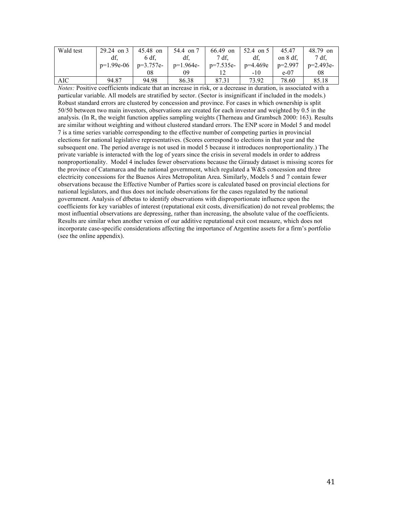| Wald test | $29.24$ on 3 | 45.48 on    | 54.4 on 7   | $66.49$ on  | 52.4 on 5 | 45.47     | 48.79 on    |
|-----------|--------------|-------------|-------------|-------------|-----------|-----------|-------------|
|           | df.          | 6 df.       | df.         | 7 df.       | df.       | on 8 df.  | 7 df.       |
|           | $p=1.99e-06$ | $p=3.757e-$ | $p=1.964e-$ | $p=7.535e-$ | p=4.469e  | $p=2.997$ | $p=2.493e-$ |
|           |              | 08          | 09          |             | $-10$     | $e-07$    | 08          |
| AIC       | 94.87        | 94.98       | 86.38       | 87.31       | 73.92     | 78.60     | 85.18       |

*Notes:* Positive coefficients indicate that an increase in risk, or a decrease in duration, is associated with a particular variable. All models are stratified by sector. (Sector is insignificant if included in the models.) Robust standard errors are clustered by concession and province. For cases in which ownership is split 50/50 between two main investors, observations are created for each investor and weighted by 0.5 in the analysis. (In R, the weight function applies sampling weights (Therneau and Grambsch 2000: 163). Results are similar without weighting and without clustered standard errors. The ENP score in Model 5 and model 7 is a time series variable corresponding to the effective number of competing parties in provincial elections for national legislative representatives. (Scores correspond to elections in that year and the subsequent one. The period average is not used in model 5 because it introduces nonproportionality.) The private variable is interacted with the log of years since the crisis in several models in order to address nonproportionality. Model 4 includes fewer observations because the Giraudy dataset is missing scores for the province of Catamarca and the national government, which regulated a W&S concession and three electricity concessions for the Buenos Aires Metropolitan Area. Similarly, Models 5 and 7 contain fewer observations because the Effective Number of Parties score is calculated based on provincial elections for national legislators, and thus does not include observations for the cases regulated by the national government. Analysis of dfbetas to identify observations with disproportionate influence upon the coefficients for key variables of interest (reputational exit costs, diversification) do not reveal problems; the most influential observations are depressing, rather than increasing, the absolute value of the coefficients. Results are similar when another version of our additive reputational exit cost measure, which does not incorporate case-specific considerations affecting the importance of Argentine assets for a firm's portfolio (see the online appendix).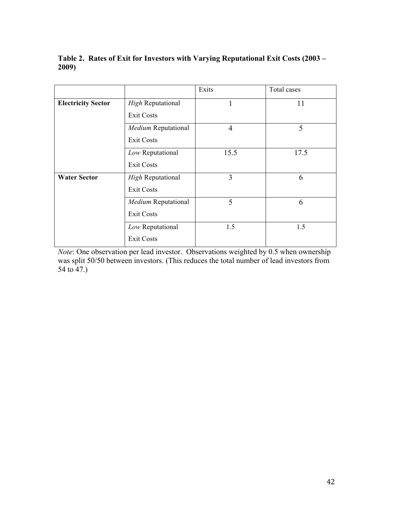# **Table 2. Rates of Exit for Investors with Varying Reputational Exit Costs (2003 – 2009)**

|                           |                          | Exits          | Total cases |
|---------------------------|--------------------------|----------------|-------------|
| <b>Electricity Sector</b> | <b>High Reputational</b> |                | 11          |
|                           | <b>Exit Costs</b>        |                |             |
|                           | Medium Reputational      | $\overline{4}$ | 5           |
|                           | <b>Exit Costs</b>        |                |             |
|                           | Low Reputational         | 15.5           | 17.5        |
|                           | <b>Exit Costs</b>        |                |             |
| <b>Water Sector</b>       | <b>High Reputational</b> | 3              | 6           |
|                           | <b>Exit Costs</b>        |                |             |
|                           | Medium Reputational      | 5              | 6           |
|                           | <b>Exit Costs</b>        |                |             |
|                           | Low Reputational         | 1.5            | 1.5         |
|                           | <b>Exit Costs</b>        |                |             |

*Note*: One observation per lead investor. Observations weighted by 0.5 when ownership was split 50/50 between investors. (This reduces the total number of lead investors from 54 to 47.)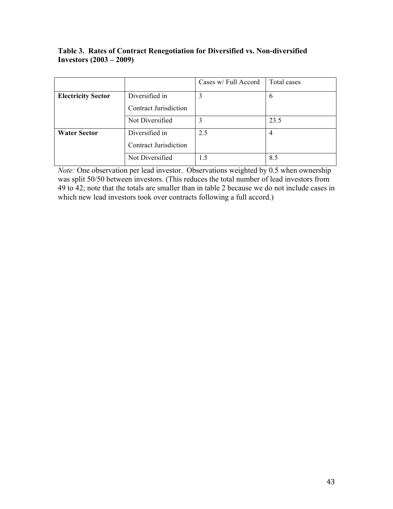|                           |                              | Cases w/ Full Accord | Total cases |
|---------------------------|------------------------------|----------------------|-------------|
| <b>Electricity Sector</b> | Diversified in               |                      | 6           |
|                           | <b>Contract Jurisdiction</b> |                      |             |
|                           | Not Diversified              | 3                    | 23.5        |
| <b>Water Sector</b>       | Diversified in               | 2.5                  | 4           |
|                           | <b>Contract Jurisdiction</b> |                      |             |
|                           | Not Diversified              |                      | 8.5         |

# **Table 3. Rates of Contract Renegotiation for Diversified vs. Non-diversified Investors (2003 – 2009)**

*Note:* One observation per lead investor. Observations weighted by 0.5 when ownership was split 50/50 between investors. (This reduces the total number of lead investors from 49 to 42; note that the totals are smaller than in table 2 because we do not include cases in which new lead investors took over contracts following a full accord.)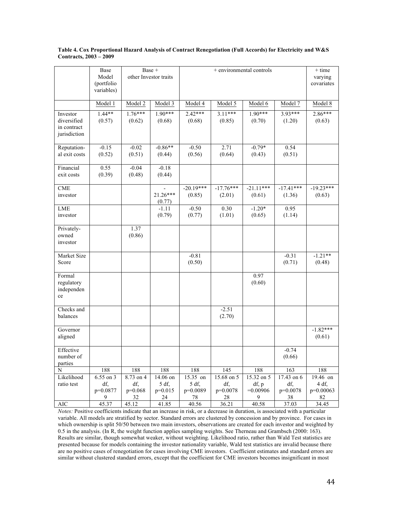|                                                        | Base<br>Model<br>(portfolio<br>variables) |                                            | Base +<br>other Investor traits             |                                              | + environmental controls                   |                                               |                                            | $+$ time<br>varying<br>covariates           |
|--------------------------------------------------------|-------------------------------------------|--------------------------------------------|---------------------------------------------|----------------------------------------------|--------------------------------------------|-----------------------------------------------|--------------------------------------------|---------------------------------------------|
|                                                        | Model 1                                   | Model 2                                    | Model 3                                     | Model 4                                      | Model 5                                    | Model 6                                       | Model 7                                    | Model 8                                     |
| Investor<br>diversified<br>in contract<br>jurisdiction | $1.44**$<br>(0.57)                        | $1.76***$<br>(0.62)                        | $1.90***$<br>(0.68)                         | $2.42***$<br>(0.68)                          | $3.11***$<br>(0.85)                        | $1.90***$<br>(0.70)                           | $3.93***$<br>(1.20)                        | $2.86***$<br>(0.63)                         |
| Reputation-<br>al exit costs                           | $-0.15$<br>(0.52)                         | $-0.02$<br>(0.51)                          | $-0.86**$<br>(0.44)                         | $-0.50$<br>(0.56)                            | 2.71<br>(0.64)                             | $-0.79*$<br>(0.43)                            | 0.54<br>(0.51)                             |                                             |
| Financial<br>exit costs                                | 0.55<br>(0.39)                            | $-0.04$<br>(0.48)                          | $-0.18$<br>(0.44)                           |                                              |                                            |                                               |                                            |                                             |
| <b>CME</b><br>investor                                 |                                           |                                            | 21.26***<br>(0.77)                          | $-20.19***$<br>(0.85)                        | $-17.76***$<br>(2.01)                      | $-21.11***$<br>(0.61)                         | $-17.41***$<br>(1.36)                      | $-19.23***$<br>(0.63)                       |
| LME<br>investor                                        |                                           |                                            | $-1.11$<br>(0.79)                           | $-0.50$<br>(0.77)                            | 0.30<br>(1.01)                             | $-1.20*$<br>(0.65)                            | 0.95<br>(1.14)                             |                                             |
| Privately-<br>owned<br>investor                        |                                           | 1.37<br>(0.86)                             |                                             |                                              |                                            |                                               |                                            |                                             |
| Market Size<br>Score                                   |                                           |                                            |                                             | $-0.81$<br>(0.50)                            |                                            |                                               | $-0.31$<br>(0.71)                          | $-1.21**$<br>(0.48)                         |
| Formal<br>regulatory<br>independen<br>ce               |                                           |                                            |                                             |                                              |                                            | 0.97<br>(0.60)                                |                                            |                                             |
| Checks and<br>balances                                 |                                           |                                            |                                             |                                              | $\overline{-2.51}$<br>(2.70)               |                                               |                                            |                                             |
| Governor<br>aligned                                    |                                           |                                            |                                             |                                              |                                            |                                               |                                            | $-1.82***$<br>(0.61)                        |
| Effective<br>number of<br>parties                      |                                           |                                            |                                             |                                              |                                            |                                               | $-0.74$<br>(0.66)                          |                                             |
| N<br>Likelihood<br>ratio test                          | 188<br>6.55 on 3<br>df,<br>p=0.0877<br>9  | 188<br>8.73 on 4<br>df,<br>$p=0.068$<br>32 | 188<br>14.06 on<br>5 df,<br>$p=0.015$<br>24 | 188<br>15.35 on<br>5 df,<br>$p=0.0089$<br>78 | 145<br>15.68 on 5<br>df,<br>p=0.0078<br>28 | 188<br>15.32 on 5<br>df, p<br>$=0.00906$<br>9 | 163<br>17.43 on 6<br>df,<br>p=0.0078<br>38 | 188<br>19.46 on<br>4 df,<br>p=0.00063<br>82 |
| <b>AIC</b>                                             | 45.37                                     | 45.12                                      | 41.85                                       | 40.56                                        | 36.21                                      | 40.58                                         | 37.03                                      | 34.45                                       |

#### **Table 4. Cox Proportional Hazard Analysis of Contract Renegotiation (Full Accords) for Electricity and W&S Contracts, 2003 – 2009**

*Notes:* Positive coefficients indicate that an increase in risk, or a decrease in duration, is associated with a particular variable. All models are stratified by sector. Standard errors are clustered by concession and by province. For cases in which ownership is split 50/50 between two main investors, observations are created for each investor and weighted by 0.5 in the analysis. (In R, the weight function applies sampling weights. See Therneau and Grambsch (2000: 163). Results are similar, though somewhat weaker, without weighting. Likelihood ratio, rather than Wald Test statistics are presented because for models containing the investor nationality variable, Wald test statistics are invalid because there are no positive cases of renegotiation for cases involving CME investors. Coefficient estimates and standard errors are similar without clustered standard errors, except that the coefficient for CME investors becomes insignificant in most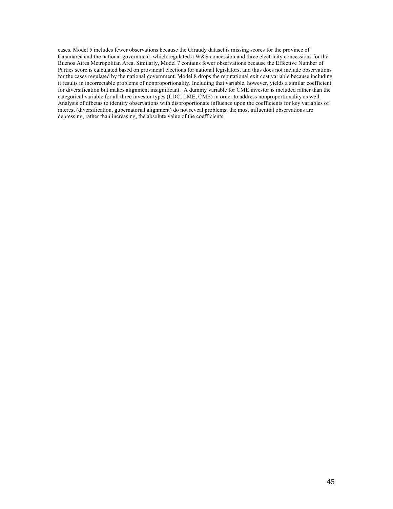cases. Model 5 includes fewer observations because the Giraudy dataset is missing scores for the province of Catamarca and the national government, which regulated a W&S concession and three electricity concessions for the Buenos Aires Metropolitan Area. Similarly, Model 7 contains fewer observations because the Effective Number of Parties score is calculated based on provincial elections for national legislators, and thus does not include observations for the cases regulated by the national government. Model 8 drops the reputational exit cost variable because including it results in incorrectable problems of nonproportionality. Including that variable, however, yields a similar coefficient for diversification but makes alignment insignificant. A dummy variable for CME investor is included rather than the categorical variable for all three investor types (LDC, LME, CME) in order to address nonproportionality as well. Analysis of dfbetas to identify observations with disproportionate influence upon the coefficients for key variables of interest (diversification, gubernatorial alignment) do not reveal problems; the most influential observations are depressing, rather than increasing, the absolute value of the coefficients.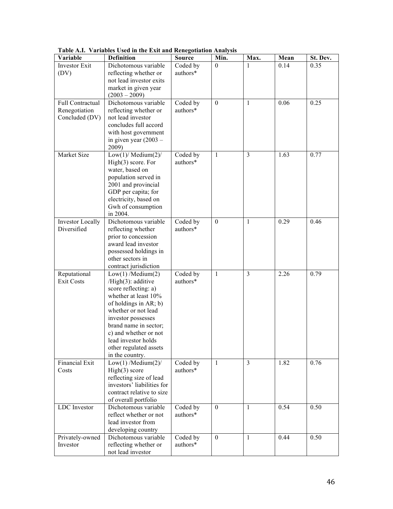| Variable                        | <b>Definition</b>                             | <b>Source</b>        | Min.         | Max.           | Mean | St. Dev. |
|---------------------------------|-----------------------------------------------|----------------------|--------------|----------------|------|----------|
| <b>Investor Exit</b>            | Dichotomous variable                          | Coded by             | $\theta$     |                | 0.14 | 0.35     |
| (DV)                            | reflecting whether or                         | authors*             |              |                |      |          |
|                                 | not lead investor exits                       |                      |              |                |      |          |
|                                 | market in given year                          |                      |              |                |      |          |
|                                 | $(2003 - 2009)$                               |                      |              |                |      |          |
| Full Contractual                | Dichotomous variable                          | Coded by<br>authors* | $\theta$     | $\mathbf{1}$   | 0.06 | 0.25     |
| Renegotiation<br>Concluded (DV) | reflecting whether or<br>not lead investor    |                      |              |                |      |          |
|                                 | concludes full accord                         |                      |              |                |      |          |
|                                 | with host government                          |                      |              |                |      |          |
|                                 | in given year $(2003 -$                       |                      |              |                |      |          |
|                                 | 2009)                                         |                      |              |                |      |          |
| Market Size                     | Low $(1)$ / Medium $(2)$ /                    | Coded by             | -1           | 3              | 1.63 | 0.77     |
|                                 | High(3) score. For                            | authors*             |              |                |      |          |
|                                 | water, based on                               |                      |              |                |      |          |
|                                 | population served in                          |                      |              |                |      |          |
|                                 | 2001 and provincial                           |                      |              |                |      |          |
|                                 | GDP per capita; for<br>electricity, based on  |                      |              |                |      |          |
|                                 | Gwh of consumption                            |                      |              |                |      |          |
|                                 | in 2004.                                      |                      |              |                |      |          |
| <b>Investor Locally</b>         | Dichotomous variable                          | Coded by             | $\theta$     | $\mathbf{1}$   | 0.29 | 0.46     |
| Diversified                     | reflecting whether                            | authors*             |              |                |      |          |
|                                 | prior to concession                           |                      |              |                |      |          |
|                                 | award lead investor                           |                      |              |                |      |          |
|                                 | possessed holdings in                         |                      |              |                |      |          |
|                                 | other sectors in                              |                      |              |                |      |          |
| Reputational                    | contract jurisdiction<br>Low(1) / Medium(2)   | Coded by             | 1            | $\overline{3}$ | 2.26 | 0.79     |
| <b>Exit Costs</b>               | / $High(3)$ : additive                        | authors*             |              |                |      |          |
|                                 | score reflecting: a)                          |                      |              |                |      |          |
|                                 | whether at least 10%                          |                      |              |                |      |          |
|                                 | of holdings in AR; b)                         |                      |              |                |      |          |
|                                 | whether or not lead                           |                      |              |                |      |          |
|                                 | investor possesses                            |                      |              |                |      |          |
|                                 | brand name in sector;                         |                      |              |                |      |          |
|                                 | c) and whether or not                         |                      |              |                |      |          |
|                                 | lead investor holds<br>other regulated assets |                      |              |                |      |          |
|                                 | in the country.                               |                      |              |                |      |          |
| Financial Exit                  | Low(1) / Medium(2) /                          | Coded by             | 1            | 3              | 1.82 | 0.76     |
| Costs                           | High(3) score                                 | authors*             |              |                |      |          |
|                                 | reflecting size of lead                       |                      |              |                |      |          |
|                                 | investors' liabilities for                    |                      |              |                |      |          |
|                                 | contract relative to size                     |                      |              |                |      |          |
|                                 | of overall portfolio                          |                      |              |                |      |          |
| LDC Investor                    | Dichotomous variable                          | Coded by             | $\mathbf{0}$ | $\mathbf{1}$   | 0.54 | 0.50     |
|                                 | reflect whether or not<br>lead investor from  | authors*             |              |                |      |          |
|                                 | developing country                            |                      |              |                |      |          |
| Privately-owned                 | Dichotomous variable                          | Coded by             | $\mathbf{0}$ | $\mathbf{1}$   | 0.44 | 0.50     |
| Investor                        | reflecting whether or                         | authors*             |              |                |      |          |
|                                 | not lead investor                             |                      |              |                |      |          |

**Table A.I. Variables Used in the Exit and Renegotiation Analysis**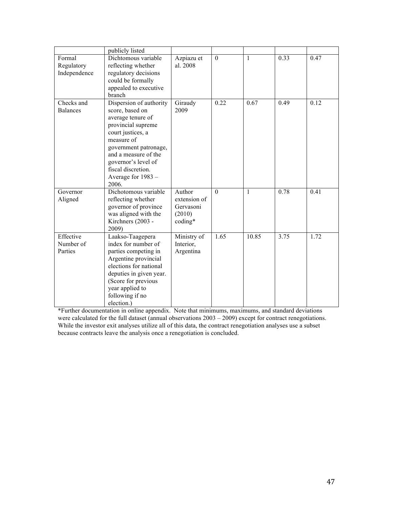|                                      | publicly listed                                                                                                                                                                                                                                       |                                                          |              |              |      |      |
|--------------------------------------|-------------------------------------------------------------------------------------------------------------------------------------------------------------------------------------------------------------------------------------------------------|----------------------------------------------------------|--------------|--------------|------|------|
| Formal<br>Regulatory<br>Independence | Dichtomous variable<br>reflecting whether<br>regulatory decisions<br>could be formally<br>appealed to executive<br>branch                                                                                                                             | Azpiazu et<br>al. 2008                                   | $\mathbf{0}$ | $\mathbf{1}$ | 0.33 | 0.47 |
| Checks and<br><b>Balances</b>        | Dispersion of authority<br>score, based on<br>average tenure of<br>provincial supreme<br>court justices, a<br>measure of<br>government patronage,<br>and a measure of the<br>governor's level of<br>fiscal discretion.<br>Average for 1983 -<br>2006. | Giraudy<br>2009                                          | 0.22         | 0.67         | 0.49 | 0.12 |
| Governor<br>Aligned                  | Dichotomous variable<br>reflecting whether<br>governor of province<br>was aligned with the<br>Kirchners (2003 -<br>2009)                                                                                                                              | Author<br>extension of<br>Gervasoni<br>(2010)<br>coding* | $\Omega$     | $\mathbf{1}$ | 0.78 | 0.41 |
| Effective<br>Number of<br>Parties    | Laakso-Taagepera<br>index for number of<br>parties competing in<br>Argentine provincial<br>elections for national<br>deputies in given year.<br>(Score for previous<br>year applied to<br>following if no<br>election.)                               | Ministry of<br>Interior,<br>Argentina                    | 1.65         | 10.85        | 3.75 | 1.72 |

\*Further documentation in online appendix. Note that minimums, maximums, and standard deviations were calculated for the full dataset (annual observations  $2003 - 2009$ ) except for contract renegotiations. While the investor exit analyses utilize all of this data, the contract renegotiation analyses use a subset because contracts leave the analysis once a renegotiation is concluded.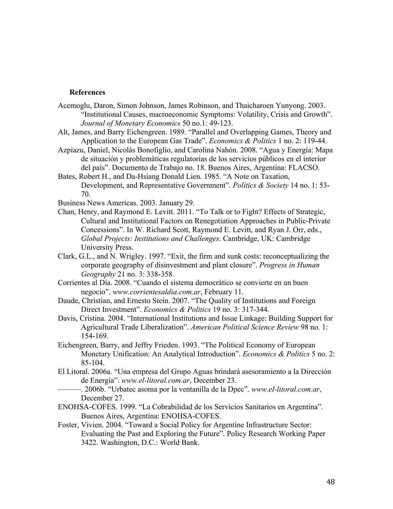### **References**

- Acemoglu, Daron, Simon Johnson, James Robinson, and Thaicharoen Yunyong. 2003. "Institutional Causes, macroeconomic Symptoms: Volatility, Crisis and Growth". *Journal of Monetary Economics* 50 no.1: 49-123.
- Alt, James, and Barry Eichengreen. 1989. "Parallel and Overlapping Games, Theory and Application to the European Gas Trade". *Economics & Politics* 1 no. 2: 119-44.
- Azpiazu, Daniel, Nicolás Bonofiglio, and Carolina Nahón. 2008. "Agua y Energía: Mapa de situación y problemáticas regulatorias de los servicios públicos en el interior del país". Documento de Trabajo no. 18. Buenos Aires, Argentina: FLACSO.
- Bates, Robert H., and Da-Hsiang Donald Lien. 1985. "A Note on Taxation, Development, and Representative Government". *Politics & Society* 14 no. 1: 53- 70.
- Business News Americas. 2003. January 29.
- Chan, Henry, and Raymond E. Levitt. 2011. "To Talk or to Fight? Effects of Strategic, Cultural and Institutional Factors on Renegotiation Approaches in Public-Private Concessions". In W. Richard Scott, Raymond E. Levitt, and Ryan J. Orr, eds., *Global Projects: Institutions and Challenges*. Cambridge, UK: Cambridge University Press.
- Clark, G.L., and N. Wrigley. 1997. "Exit, the firm and sunk costs: reconceptualizing the corporate geography of disinvestment and plant closure". *Progress in Human Geography* 21 no. 3: 338-358.
- Corrientes al Día. 2008. "Cuando el sistema democrático se convierte en un buen negocio". *www.corrientesaldia.com.ar*, February 11.
- Daude, Christian, and Ernesto Stein. 2007. "The Quality of Institutions and Foreign Direct Investment". *Economics & Politics* 19 no. 3: 317-344.
- Davis, Cristina. 2004. "International Institutions and Issue Linkage: Building Support for Agricultural Trade Liberalization". *American Political Science Review* 98 no. 1: 154-169.
- Eichengreen, Barry, and Jeffry Frieden. 1993. "The Political Economy of European Monetary Unification: An Analytical Introduction". *Economics & Politics* 5 no. 2: 85-104.
- El Litoral. 2006a. "Una empresa del Grupo Aguas brindará asesoramiento a la Dirección de Energía". *www.el-litoral.com.ar*, December 23.
	- ———. 2006b. "Urbatec asoma por la ventanilla de la Dpec". *www.el-litoral.com.ar*, December 27.
- ENOHSA-COFES. 1999. "La Cobrabilidad de los Servicios Sanitarios en Argentina". Buenos Aires, Argentina: ENOHSA-COFES.
- Foster, Vivien. 2004. "Toward a Social Policy for Argentine Infrastructure Sector: Evaluating the Past and Exploring the Future". Policy Research Working Paper 3422. Washington, D.C.: World Bank.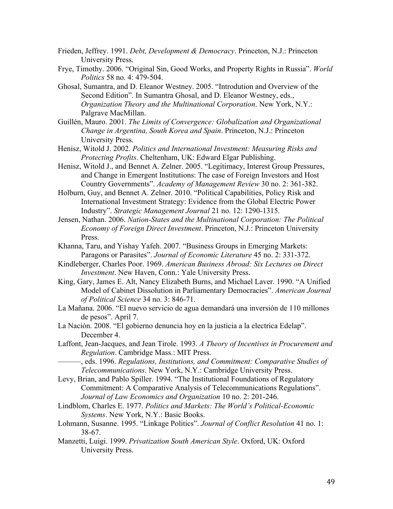- Frieden, Jeffrey. 1991. *Debt, Development & Democracy*. Princeton, N.J.: Princeton University Press.
- Frye, Timothy. 2006. "Original Sin, Good Works, and Property Rights in Russia". *World Politics* 58 no. 4: 479-504.
- Ghosal, Sumantra, and D. Eleanor Westney. 2005. "Introdution and Overview of the Second Edition". In Sumantra Ghosal, and D. Eleanor Westney, eds., *Organization Theory and the Multinational Corporation*. New York, N.Y.: Palgrave MacMillan.
- Guillén, Mauro. 2001. *The Limits of Convergence: Globalization and Organizational Change in Argentina, South Korea and Spain*. Princeton, N.J.: Princeton University Press.
- Henisz, Witold J. 2002. *Politics and International Investment: Measuring Risks and Protecting Profits*. Cheltenham, UK: Edward Elgar Publishing.
- Henisz, Witold J., and Bennet A. Zelner. 2005. "Legitimacy, Interest Group Pressures, and Change in Emergent Institutions: The case of Foreign Investors and Host Country Governments". *Academy of Management Review* 30 no. 2: 361-382.
- Holburn, Guy, and Bennet A. Zelner. 2010. "Political Capabilities, Policy Risk and International Investment Strategy: Evidence from the Global Electric Power Industry". *Strategic Management Journal* 21 no. 12: 1290-1315.
- Jensen, Nathan. 2006. *Nation-States and the Multinational Corporation: The Political Economy of Foreign Direct Investment*. Princeton, N.J.: Princeton University Press.
- Khanna, Taru, and Yishay Yafeh. 2007. "Business Groups in Emerging Markets: Paragons or Parasites". *Journal of Economic Literature* 45 no. 2: 331-372.
- Kindleberger, Charles Poor. 1969. *American Business Abroad: Six Lectures on Direct Investment*. New Haven, Conn.: Yale University Press.
- King, Gary, James E. Alt, Nancy Elizabeth Burns, and Michael Laver. 1990. "A Unified Model of Cabinet Dissolution in Parliamentary Democracies". *American Journal of Political Science* 34 no. 3: 846-71.
- La Mañana. 2006. "El nuevo servicio de agua demandará una inversión de 110 millones de pesos". April 7.
- La Nación. 2008. "El gobierno denuncia hoy en la justicia a la electrica Edelap". December 4.
- Laffont, Jean-Jacques, and Jean Tirole. 1993. *A Theory of Incentives in Procurement and Regulation*. Cambridge Mass.: MIT Press.
	- ———, eds. 1996. *Regulations, Institutions, and Commitment: Comparative Studies of Telecommunications*. New York, N.Y.: Cambridge University Press.
- Levy, Brian, and Pablo Spiller. 1994. "The Institutional Foundations of Regulatory Commitment: A Comparative Analysis of Telecommunications Regulations". *Journal of Law Economics and Organization* 10 no. 2: 201-246.
- Lindblom, Charles E. 1977. *Politics and Markets: The World's Political-Economic Systems*. New York, N.Y.: Basic Books.
- Lohmann, Susanne. 1995. "Linkage Politics". *Journal of Conflict Resolution* 41 no. 1: 38-67.
- Manzetti, Luigi. 1999. *Privatization South American Style*. Oxford, UK: Oxford University Press.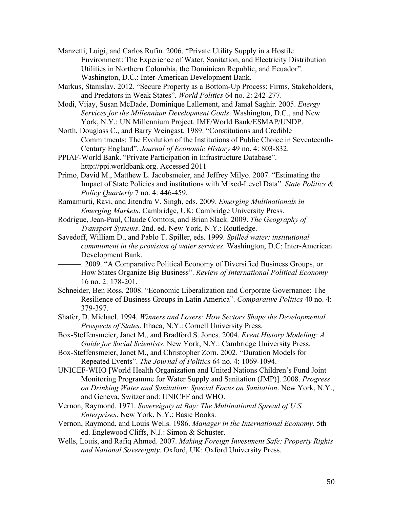- Manzetti, Luigi, and Carlos Rufin. 2006. "Private Utility Supply in a Hostile Environment: The Experience of Water, Sanitation, and Electricity Distribution Utilities in Northern Colombia, the Dominican Republic, and Ecuador". Washington, D.C.: Inter-American Development Bank.
- Markus, Stanislav. 2012. "Secure Property as a Bottom-Up Process: Firms, Stakeholders, and Predators in Weak States". *World Politics* 64 no. 2: 242-277.
- Modi, Vijay, Susan McDade, Dominique Lallement, and Jamal Saghir. 2005. *Energy Services for the Millennium Development Goals*. Washington, D.C., and New York, N.Y.: UN Millennium Project. IMF/World Bank/ESMAP/UNDP.
- North, Douglass C., and Barry Weingast. 1989. "Constitutions and Credible Commitments: The Evolution of the Institutions of Public Choice in Seventeenth-Century England". *Journal of Economic History* 49 no. 4: 803-832.
- PPIAF-World Bank. "Private Participation in Infrastructure Database". http://ppi.worldbank.org. Accessed 2011
- Primo, David M., Matthew L. Jacobsmeier, and Jeffrey Milyo. 2007. "Estimating the Impact of State Policies and institutions with Mixed-Level Data". *State Politics & Policy Quarterly* 7 no. 4: 446-459.
- Ramamurti, Ravi, and Jitendra V. Singh, eds. 2009. *Emerging Multinationals in Emerging Markets*. Cambridge, UK: Cambridge University Press.
- Rodrigue, Jean-Paul, Claude Comtois, and Brian Slack. 2009. *The Geography of Transport Systems*. 2nd. ed. New York, N.Y.: Routledge.
- Savedoff, William D., and Pablo T. Spiller, eds. 1999. *Spilled water: institutional commitment in the provision of water services*. Washington, D.C: Inter-American Development Bank.
	- ———. 2009. "A Comparative Political Economy of Diversified Business Groups, or How States Organize Big Business". *Review of International Political Economy* 16 no. 2: 178-201.
- Schneider, Ben Ross. 2008. "Economic Liberalization and Corporate Governance: The Resilience of Business Groups in Latin America". *Comparative Politics* 40 no. 4: 379-397.
- Shafer, D. Michael. 1994. *Winners and Losers: How Sectors Shape the Developmental Prospects of States*. Ithaca, N.Y.: Cornell University Press.
- Box-Steffensmeier, Janet M., and Bradford S. Jones. 2004. *Event History Modeling: A Guide for Social Scientists*. New York, N.Y.: Cambridge University Press.
- Box-Steffensmeier, Janet M., and Christopher Zorn. 2002. "Duration Models for Repeated Events". *The Journal of Politics* 64 no. 4: 1069-1094.
- UNICEF-WHO [World Health Organization and United Nations Children's Fund Joint Monitoring Programme for Water Supply and Sanitation (JMP)]. 2008. *Progress on Drinking Water and Sanitation: Special Focus on Sanitation*. New York, N.Y., and Geneva, Switzerland: UNICEF and WHO.
- Vernon, Raymond. 1971. *Sovereignty at Bay: The Multinational Spread of U.S. Enterprises*. New York, N.Y.: Basic Books.
- Vernon, Raymond, and Louis Wells. 1986. *Manager in the International Economy*. 5th ed. Englewood Cliffs, N.J.: Simon & Schuster.
- Wells, Louis, and Rafiq Ahmed. 2007. *Making Foreign Investment Safe: Property Rights and National Sovereignty*. Oxford, UK: Oxford University Press.